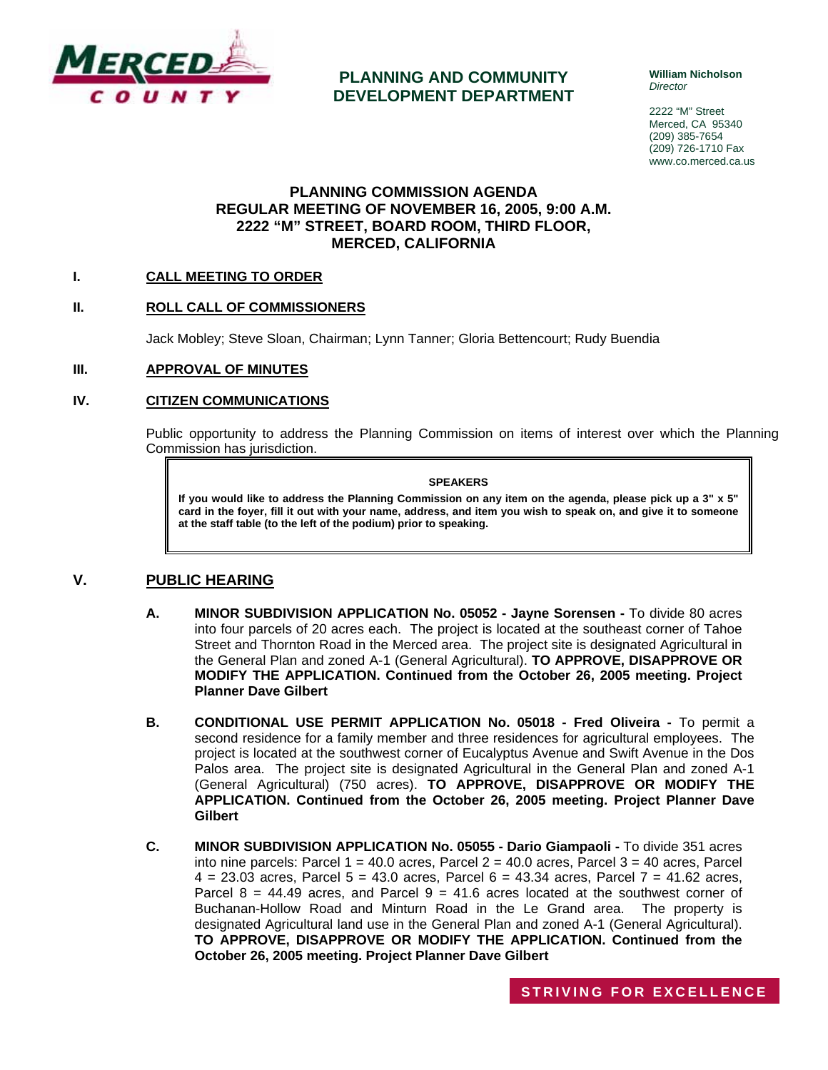

# **PLANNING AND COMMUNITY DEVELOPMENT DEPARTMENT**

**William Nicholson**  *Director* 

2222 "M" Street Merced, CA 95340 (209) 385-7654 (209) 726-1710 Fax www.co.merced.ca.us

### **PLANNING COMMISSION AGENDA REGULAR MEETING OF NOVEMBER 16, 2005, 9:00 A.M. 2222 "M" STREET, BOARD ROOM, THIRD FLOOR, MERCED, CALIFORNIA**

#### **I. CALL MEETING TO ORDER**

#### **II. ROLL CALL OF COMMISSIONERS**

Jack Mobley; Steve Sloan, Chairman; Lynn Tanner; Gloria Bettencourt; Rudy Buendia

#### **III. APPROVAL OF MINUTES**

#### **IV. CITIZEN COMMUNICATIONS**

Public opportunity to address the Planning Commission on items of interest over which the Planning Commission has jurisdiction.

#### **SPEAKERS**

**If you would like to address the Planning Commission on any item on the agenda, please pick up a 3" x 5" card in the foyer, fill it out with your name, address, and item you wish to speak on, and give it to someone at the staff table (to the left of the podium) prior to speaking.**

#### **V. PUBLIC HEARING**

- **A. MINOR SUBDIVISION APPLICATION No. 05052 Jayne Sorensen** To divide 80 acres into four parcels of 20 acres each. The project is located at the southeast corner of Tahoe Street and Thornton Road in the Merced area. The project site is designated Agricultural in the General Plan and zoned A-1 (General Agricultural). **TO APPROVE, DISAPPROVE OR MODIFY THE APPLICATION. Continued from the October 26, 2005 meeting. Project Planner Dave Gilbert**
- **B. CONDITIONAL USE PERMIT APPLICATION No. 05018 Fred Oliveira** To permit a second residence for a family member and three residences for agricultural employees. The project is located at the southwest corner of Eucalyptus Avenue and Swift Avenue in the Dos Palos area. The project site is designated Agricultural in the General Plan and zoned A-1 (General Agricultural) (750 acres). **TO APPROVE, DISAPPROVE OR MODIFY THE APPLICATION. Continued from the October 26, 2005 meeting. Project Planner Dave Gilbert**
- **C. MINOR SUBDIVISION APPLICATION No. 05055 Dario Giampaoli** To divide 351 acres into nine parcels: Parcel  $1 = 40.0$  acres, Parcel  $2 = 40.0$  acres, Parcel  $3 = 40$  acres, Parcel  $4 = 23.03$  acres, Parcel  $5 = 43.0$  acres, Parcel  $6 = 43.34$  acres, Parcel  $7 = 41.62$  acres, Parcel  $8 = 44.49$  acres, and Parcel  $9 = 41.6$  acres located at the southwest corner of Buchanan-Hollow Road and Minturn Road in the Le Grand area. The property is designated Agricultural land use in the General Plan and zoned A-1 (General Agricultural). **TO APPROVE, DISAPPROVE OR MODIFY THE APPLICATION. Continued from the October 26, 2005 meeting. Project Planner Dave Gilbert**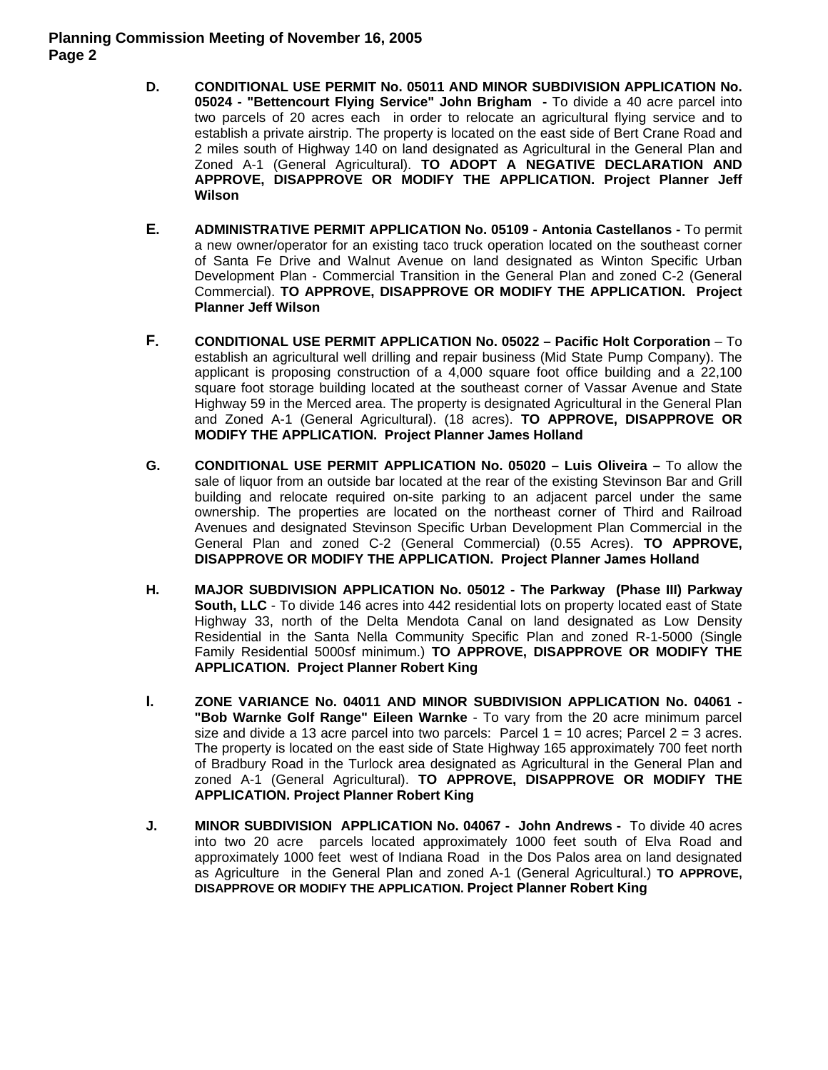### **Planning Commission Meeting of November 16, 2005 Page 2**

- **D. CONDITIONAL USE PERMIT No. 05011 AND MINOR SUBDIVISION APPLICATION No. 05024 - "Bettencourt Flying Service" John Brigham -** To divide a 40 acre parcel into two parcels of 20 acres each in order to relocate an agricultural flying service and to establish a private airstrip. The property is located on the east side of Bert Crane Road and 2 miles south of Highway 140 on land designated as Agricultural in the General Plan and Zoned A-1 (General Agricultural). **TO ADOPT A NEGATIVE DECLARATION AND APPROVE, DISAPPROVE OR MODIFY THE APPLICATION. Project Planner Jeff Wilson**
- **E. ADMINISTRATIVE PERMIT APPLICATION No. 05109 Antonia Castellanos** To permit a new owner/operator for an existing taco truck operation located on the southeast corner of Santa Fe Drive and Walnut Avenue on land designated as Winton Specific Urban Development Plan - Commercial Transition in the General Plan and zoned C-2 (General Commercial). **TO APPROVE, DISAPPROVE OR MODIFY THE APPLICATION. Project Planner Jeff Wilson**
- **F. CONDITIONAL USE PERMIT APPLICATION No. 05022 Pacific Holt Corporation** To establish an agricultural well drilling and repair business (Mid State Pump Company). The applicant is proposing construction of a 4,000 square foot office building and a 22,100 square foot storage building located at the southeast corner of Vassar Avenue and State Highway 59 in the Merced area. The property is designated Agricultural in the General Plan and Zoned A-1 (General Agricultural). (18 acres). **TO APPROVE, DISAPPROVE OR MODIFY THE APPLICATION. Project Planner James Holland**
- **G. CONDITIONAL USE PERMIT APPLICATION No. 05020 Luis Oliveira –** To allow the sale of liquor from an outside bar located at the rear of the existing Stevinson Bar and Grill building and relocate required on-site parking to an adjacent parcel under the same ownership. The properties are located on the northeast corner of Third and Railroad Avenues and designated Stevinson Specific Urban Development Plan Commercial in the General Plan and zoned C-2 (General Commercial) (0.55 Acres). **TO APPROVE, DISAPPROVE OR MODIFY THE APPLICATION. Project Planner James Holland**
- **H. MAJOR SUBDIVISION APPLICATION No. 05012 The Parkway (Phase III) Parkway South, LLC** - To divide 146 acres into 442 residential lots on property located east of State Highway 33, north of the Delta Mendota Canal on land designated as Low Density Residential in the Santa Nella Community Specific Plan and zoned R-1-5000 (Single Family Residential 5000sf minimum.) **TO APPROVE, DISAPPROVE OR MODIFY THE APPLICATION. Project Planner Robert King**
- **I. ZONE VARIANCE No. 04011 AND MINOR SUBDIVISION APPLICATION No. 04061 - "Bob Warnke Golf Range" Eileen Warnke** - To vary from the 20 acre minimum parcel size and divide a 13 acre parcel into two parcels: Parcel  $1 = 10$  acres; Parcel  $2 = 3$  acres. The property is located on the east side of State Highway 165 approximately 700 feet north of Bradbury Road in the Turlock area designated as Agricultural in the General Plan and zoned A-1 (General Agricultural). **TO APPROVE, DISAPPROVE OR MODIFY THE APPLICATION. Project Planner Robert King**
- **J. MINOR SUBDIVISION APPLICATION No. 04067 John Andrews** To divide 40 acres into two 20 acre parcels located approximately 1000 feet south of Elva Road and approximately 1000 feet west of Indiana Road in the Dos Palos area on land designated as Agriculture in the General Plan and zoned A-1 (General Agricultural.) **TO APPROVE, DISAPPROVE OR MODIFY THE APPLICATION. Project Planner Robert King**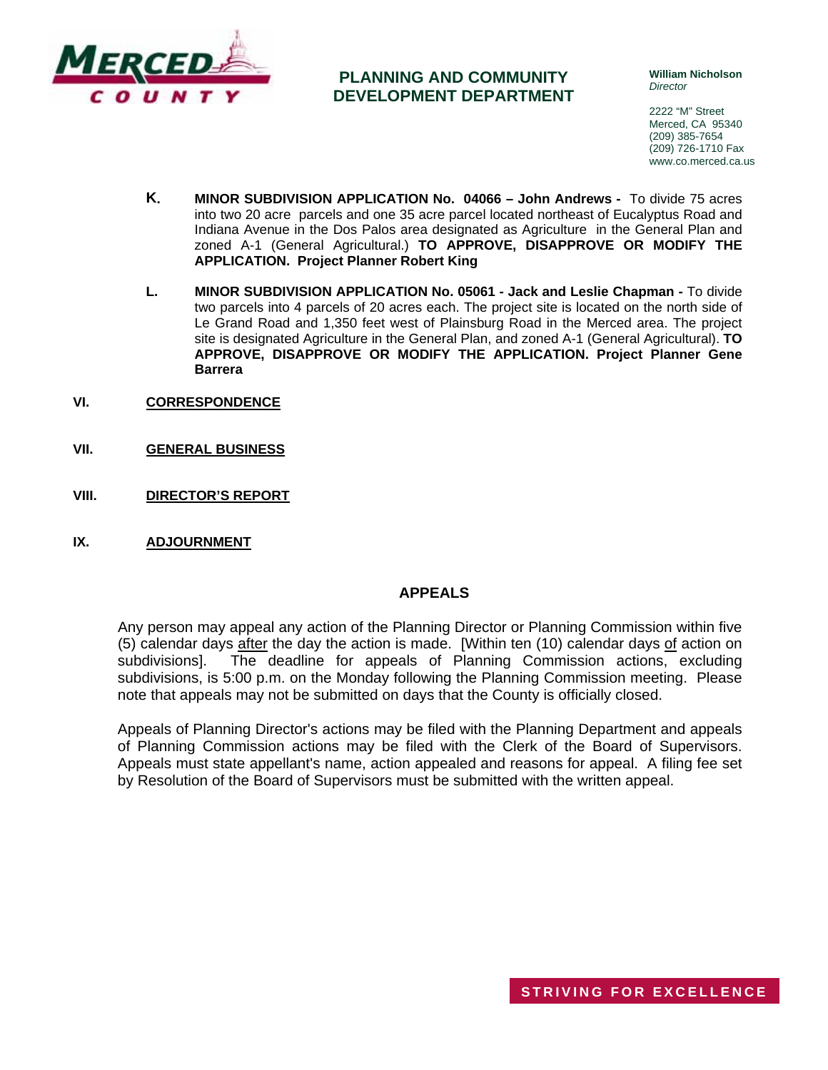

# **PLANNING AND COMMUNITY DEVELOPMENT DEPARTMENT**

**William Nicholson**  *Director* 

2222 "M" Street Merced, CA 95340 (209) 385-7654 (209) 726-1710 Fax www.co.merced.ca.us

- **K. MINOR SUBDIVISION APPLICATION No. 04066 John Andrews** To divide 75 acres into two 20 acre parcels and one 35 acre parcel located northeast of Eucalyptus Road and Indiana Avenue in the Dos Palos area designated as Agriculture in the General Plan and zoned A-1 (General Agricultural.) **TO APPROVE, DISAPPROVE OR MODIFY THE APPLICATION. Project Planner Robert King**
- **L. MINOR SUBDIVISION APPLICATION No. 05061 Jack and Leslie Chapman** To divide two parcels into 4 parcels of 20 acres each. The project site is located on the north side of Le Grand Road and 1,350 feet west of Plainsburg Road in the Merced area. The project site is designated Agriculture in the General Plan, and zoned A-1 (General Agricultural). **TO APPROVE, DISAPPROVE OR MODIFY THE APPLICATION. Project Planner Gene Barrera**
- **VI. CORRESPONDENCE**
- **VII. GENERAL BUSINESS**
- **VIII. DIRECTOR'S REPORT**
- **IX. ADJOURNMENT**

#### **APPEALS**

Any person may appeal any action of the Planning Director or Planning Commission within five (5) calendar days after the day the action is made. [Within ten (10) calendar days of action on subdivisions]. The deadline for appeals of Planning Commission actions, excluding subdivisions, is 5:00 p.m. on the Monday following the Planning Commission meeting. Please note that appeals may not be submitted on days that the County is officially closed.

Appeals of Planning Director's actions may be filed with the Planning Department and appeals of Planning Commission actions may be filed with the Clerk of the Board of Supervisors. Appeals must state appellant's name, action appealed and reasons for appeal. A filing fee set by Resolution of the Board of Supervisors must be submitted with the written appeal.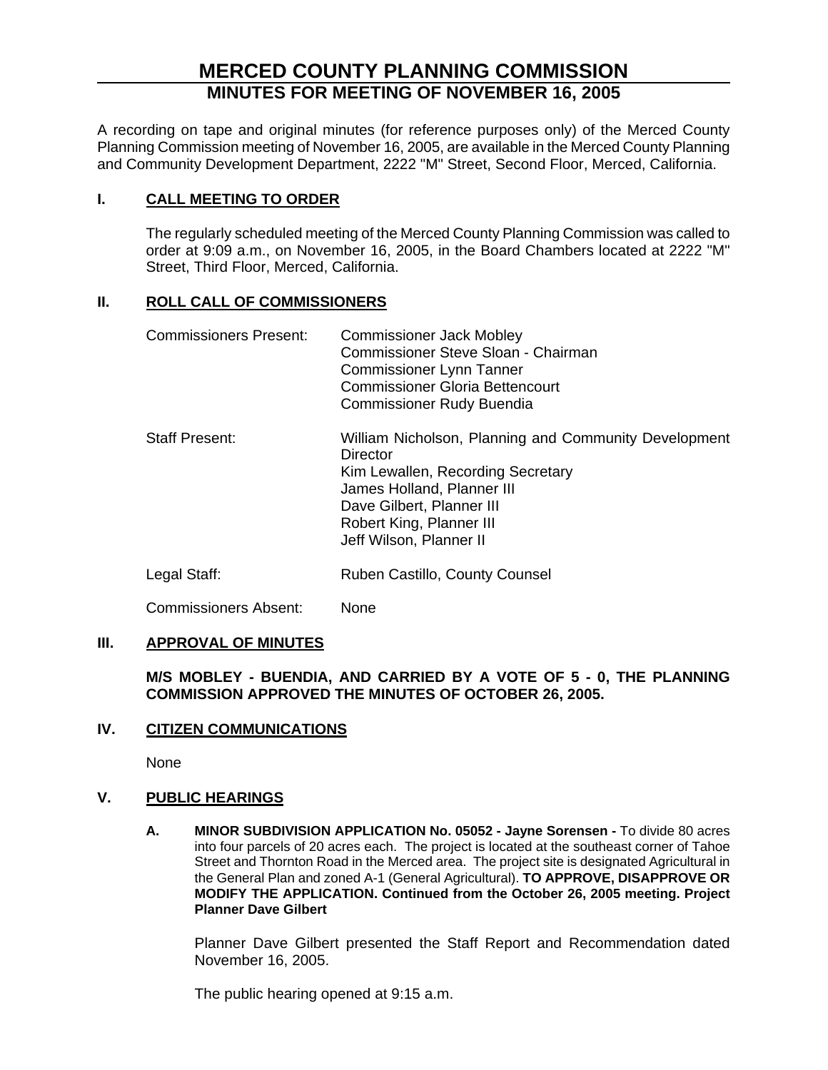# **MERCED COUNTY PLANNING COMMISSION MINUTES FOR MEETING OF NOVEMBER 16, 2005**

A recording on tape and original minutes (for reference purposes only) of the Merced County Planning Commission meeting of November 16, 2005, are available in the Merced County Planning and Community Development Department, 2222 "M" Street, Second Floor, Merced, California.

# **I. CALL MEETING TO ORDER**

The regularly scheduled meeting of the Merced County Planning Commission was called to order at 9:09 a.m., on November 16, 2005, in the Board Chambers located at 2222 "M" Street, Third Floor, Merced, California.

# **II. ROLL CALL OF COMMISSIONERS**

| <b>Commissioners Present:</b> | <b>Commissioner Jack Mobley</b><br>Commissioner Steve Sloan - Chairman<br><b>Commissioner Lynn Tanner</b><br><b>Commissioner Gloria Bettencourt</b><br><b>Commissioner Rudy Buendia</b>                                  |
|-------------------------------|--------------------------------------------------------------------------------------------------------------------------------------------------------------------------------------------------------------------------|
| <b>Staff Present:</b>         | William Nicholson, Planning and Community Development<br>Director<br>Kim Lewallen, Recording Secretary<br>James Holland, Planner III<br>Dave Gilbert, Planner III<br>Robert King, Planner III<br>Jeff Wilson, Planner II |
| Legal Staff:                  | Ruben Castillo, County Counsel                                                                                                                                                                                           |

Commissioners Absent: None

# **III. APPROVAL OF MINUTES**

**M/S MOBLEY - BUENDIA, AND CARRIED BY A VOTE OF 5 - 0, THE PLANNING COMMISSION APPROVED THE MINUTES OF OCTOBER 26, 2005.**

# **IV. CITIZEN COMMUNICATIONS**

None

# **V. PUBLIC HEARINGS**

**A. MINOR SUBDIVISION APPLICATION No. 05052 - Jayne Sorensen -** To divide 80 acres into four parcels of 20 acres each. The project is located at the southeast corner of Tahoe Street and Thornton Road in the Merced area. The project site is designated Agricultural in the General Plan and zoned A-1 (General Agricultural). **TO APPROVE, DISAPPROVE OR MODIFY THE APPLICATION. Continued from the October 26, 2005 meeting. Project Planner Dave Gilbert** 

Planner Dave Gilbert presented the Staff Report and Recommendation dated November 16, 2005.

The public hearing opened at 9:15 a.m.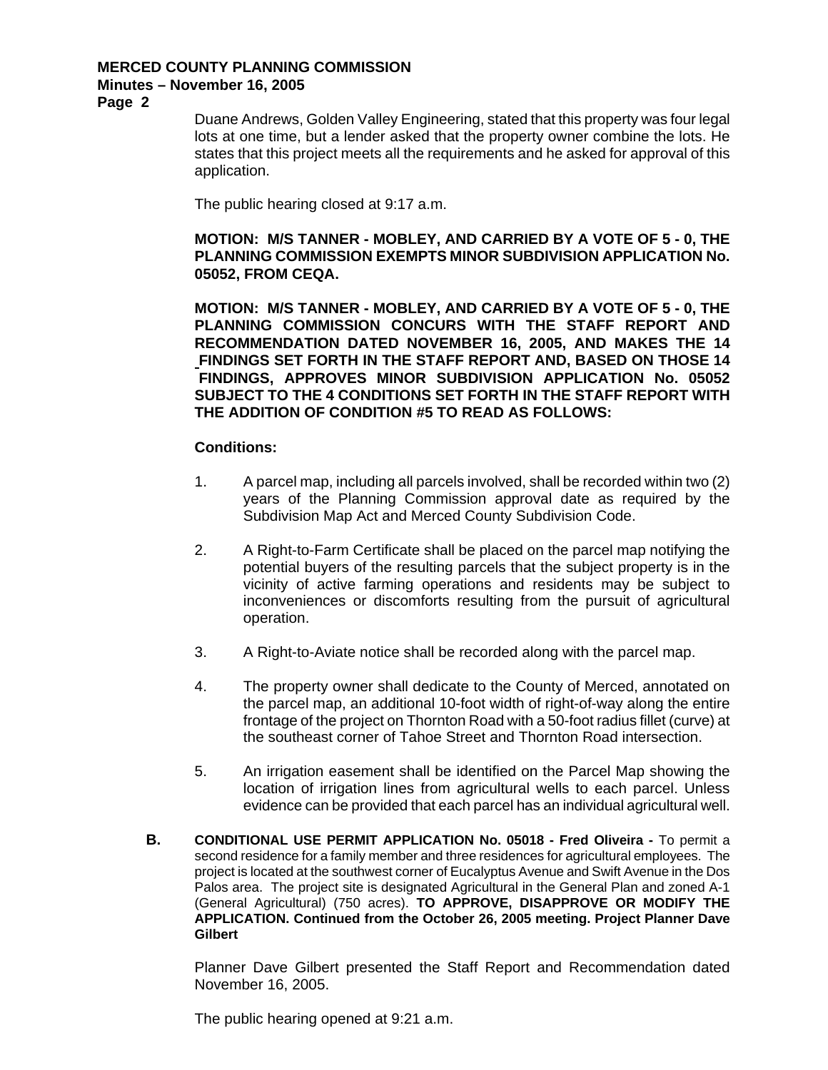# **Minutes – November 16, 2005**

**Page 2** 

Duane Andrews, Golden Valley Engineering, stated that this property was four legal lots at one time, but a lender asked that the property owner combine the lots. He states that this project meets all the requirements and he asked for approval of this application.

The public hearing closed at 9:17 a.m.

### **MOTION: M/S TANNER - MOBLEY, AND CARRIED BY A VOTE OF 5 - 0, THE PLANNING COMMISSION EXEMPTS MINOR SUBDIVISION APPLICATION No. 05052, FROM CEQA.**

**MOTION: M/S TANNER - MOBLEY, AND CARRIED BY A VOTE OF 5 - 0, THE PLANNING COMMISSION CONCURS WITH THE STAFF REPORT AND RECOMMENDATION DATED NOVEMBER 16, 2005, AND MAKES THE 14 FINDINGS SET FORTH IN THE STAFF REPORT AND, BASED ON THOSE 14 FINDINGS, APPROVES MINOR SUBDIVISION APPLICATION No. 05052 SUBJECT TO THE 4 CONDITIONS SET FORTH IN THE STAFF REPORT WITH THE ADDITION OF CONDITION #5 TO READ AS FOLLOWS:** 

### **Conditions:**

- 1. A parcel map, including all parcels involved, shall be recorded within two (2) years of the Planning Commission approval date as required by the Subdivision Map Act and Merced County Subdivision Code.
- 2. A Right-to-Farm Certificate shall be placed on the parcel map notifying the potential buyers of the resulting parcels that the subject property is in the vicinity of active farming operations and residents may be subject to inconveniences or discomforts resulting from the pursuit of agricultural operation.
- 3. A Right-to-Aviate notice shall be recorded along with the parcel map.
- 4. The property owner shall dedicate to the County of Merced, annotated on the parcel map, an additional 10-foot width of right-of-way along the entire frontage of the project on Thornton Road with a 50-foot radius fillet (curve) at the southeast corner of Tahoe Street and Thornton Road intersection.
- 5. An irrigation easement shall be identified on the Parcel Map showing the location of irrigation lines from agricultural wells to each parcel. Unless evidence can be provided that each parcel has an individual agricultural well.
- **B. CONDITIONAL USE PERMIT APPLICATION No. 05018 Fred Oliveira To permit a** second residence for a family member and three residences for agricultural employees. The project is located at the southwest corner of Eucalyptus Avenue and Swift Avenue in the Dos Palos area. The project site is designated Agricultural in the General Plan and zoned A-1 (General Agricultural) (750 acres). **TO APPROVE, DISAPPROVE OR MODIFY THE APPLICATION. Continued from the October 26, 2005 meeting. Project Planner Dave Gilbert**

Planner Dave Gilbert presented the Staff Report and Recommendation dated November 16, 2005.

The public hearing opened at 9:21 a.m.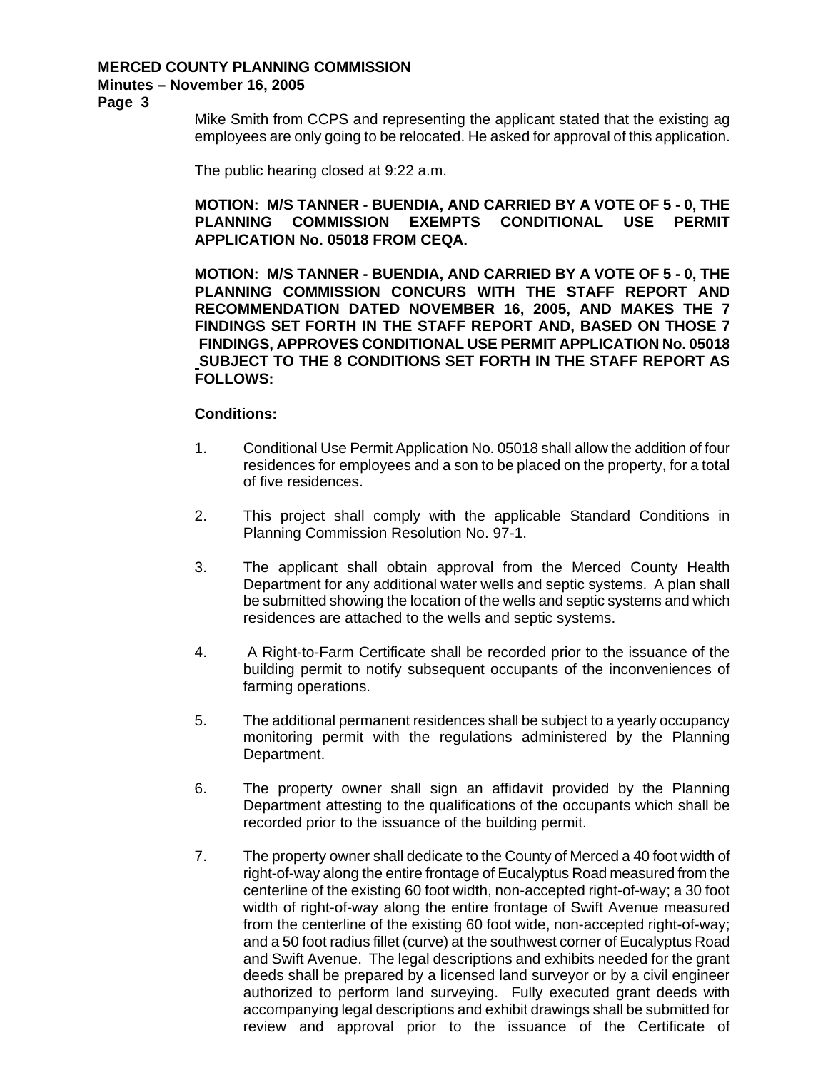# **Minutes – November 16, 2005**

**Page 3** 

Mike Smith from CCPS and representing the applicant stated that the existing ag employees are only going to be relocated. He asked for approval of this application.

The public hearing closed at 9:22 a.m.

# **MOTION: M/S TANNER - BUENDIA, AND CARRIED BY A VOTE OF 5 - 0, THE PLANNING COMMISSION EXEMPTS CONDITIONAL USE PERMIT APPLICATION No. 05018 FROM CEQA.**

**MOTION: M/S TANNER - BUENDIA, AND CARRIED BY A VOTE OF 5 - 0, THE PLANNING COMMISSION CONCURS WITH THE STAFF REPORT AND RECOMMENDATION DATED NOVEMBER 16, 2005, AND MAKES THE 7 FINDINGS SET FORTH IN THE STAFF REPORT AND, BASED ON THOSE 7 FINDINGS, APPROVES CONDITIONAL USE PERMIT APPLICATION No. 05018 SUBJECT TO THE 8 CONDITIONS SET FORTH IN THE STAFF REPORT AS FOLLOWS:** 

- 1. Conditional Use Permit Application No. 05018 shall allow the addition of four residences for employees and a son to be placed on the property, for a total of five residences.
- 2. This project shall comply with the applicable Standard Conditions in Planning Commission Resolution No. 97-1.
- 3. The applicant shall obtain approval from the Merced County Health Department for any additional water wells and septic systems. A plan shall be submitted showing the location of the wells and septic systems and which residences are attached to the wells and septic systems.
- 4. A Right-to-Farm Certificate shall be recorded prior to the issuance of the building permit to notify subsequent occupants of the inconveniences of farming operations.
- 5. The additional permanent residences shall be subject to a yearly occupancy monitoring permit with the regulations administered by the Planning Department.
- 6. The property owner shall sign an affidavit provided by the Planning Department attesting to the qualifications of the occupants which shall be recorded prior to the issuance of the building permit.
- 7. The property owner shall dedicate to the County of Merced a 40 foot width of right-of-way along the entire frontage of Eucalyptus Road measured from the centerline of the existing 60 foot width, non-accepted right-of-way; a 30 foot width of right-of-way along the entire frontage of Swift Avenue measured from the centerline of the existing 60 foot wide, non-accepted right-of-way; and a 50 foot radius fillet (curve) at the southwest corner of Eucalyptus Road and Swift Avenue. The legal descriptions and exhibits needed for the grant deeds shall be prepared by a licensed land surveyor or by a civil engineer authorized to perform land surveying. Fully executed grant deeds with accompanying legal descriptions and exhibit drawings shall be submitted for review and approval prior to the issuance of the Certificate of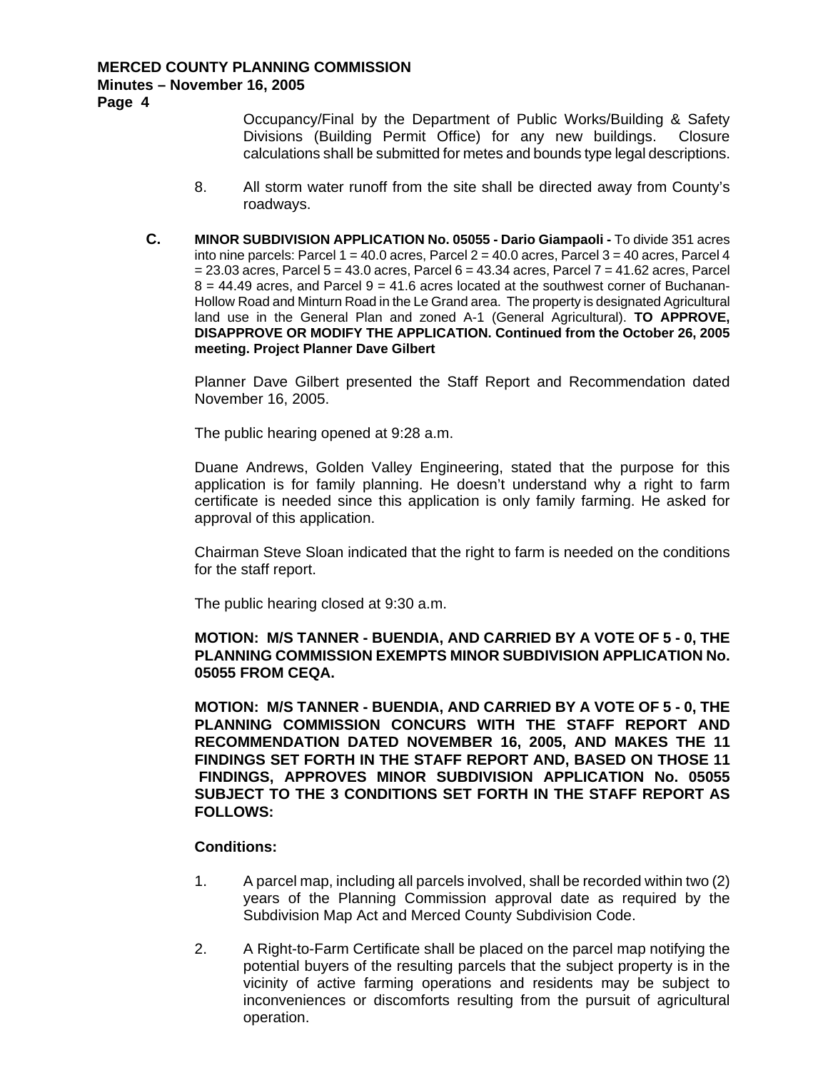**Page 4** 

Occupancy/Final by the Department of Public Works/Building & Safety Divisions (Building Permit Office) for any new buildings. Closure calculations shall be submitted for metes and bounds type legal descriptions.

- 8. All storm water runoff from the site shall be directed away from County's roadways.
- **C. MINOR SUBDIVISION APPLICATION No. 05055 Dario Giampaoli** To divide 351 acres into nine parcels: Parcel  $1 = 40.0$  acres, Parcel  $2 = 40.0$  acres, Parcel  $3 = 40$  acres, Parcel 4  $= 23.03$  acres, Parcel  $5 = 43.0$  acres, Parcel  $6 = 43.34$  acres, Parcel  $7 = 41.62$  acres, Parcel  $8 = 44.49$  acres, and Parcel  $9 = 41.6$  acres located at the southwest corner of Buchanan-Hollow Road and Minturn Road in the Le Grand area. The property is designated Agricultural land use in the General Plan and zoned A-1 (General Agricultural). **TO APPROVE, DISAPPROVE OR MODIFY THE APPLICATION. Continued from the October 26, 2005 meeting. Project Planner Dave Gilbert**

Planner Dave Gilbert presented the Staff Report and Recommendation dated November 16, 2005.

The public hearing opened at 9:28 a.m.

Duane Andrews, Golden Valley Engineering, stated that the purpose for this application is for family planning. He doesn't understand why a right to farm certificate is needed since this application is only family farming. He asked for approval of this application.

Chairman Steve Sloan indicated that the right to farm is needed on the conditions for the staff report.

The public hearing closed at 9:30 a.m.

**MOTION: M/S TANNER - BUENDIA, AND CARRIED BY A VOTE OF 5 - 0, THE PLANNING COMMISSION EXEMPTS MINOR SUBDIVISION APPLICATION No. 05055 FROM CEQA.** 

**MOTION: M/S TANNER - BUENDIA, AND CARRIED BY A VOTE OF 5 - 0, THE PLANNING COMMISSION CONCURS WITH THE STAFF REPORT AND RECOMMENDATION DATED NOVEMBER 16, 2005, AND MAKES THE 11 FINDINGS SET FORTH IN THE STAFF REPORT AND, BASED ON THOSE 11 FINDINGS, APPROVES MINOR SUBDIVISION APPLICATION No. 05055 SUBJECT TO THE 3 CONDITIONS SET FORTH IN THE STAFF REPORT AS FOLLOWS:** 

- 1. A parcel map, including all parcels involved, shall be recorded within two (2) years of the Planning Commission approval date as required by the Subdivision Map Act and Merced County Subdivision Code.
- 2. A Right-to-Farm Certificate shall be placed on the parcel map notifying the potential buyers of the resulting parcels that the subject property is in the vicinity of active farming operations and residents may be subject to inconveniences or discomforts resulting from the pursuit of agricultural operation.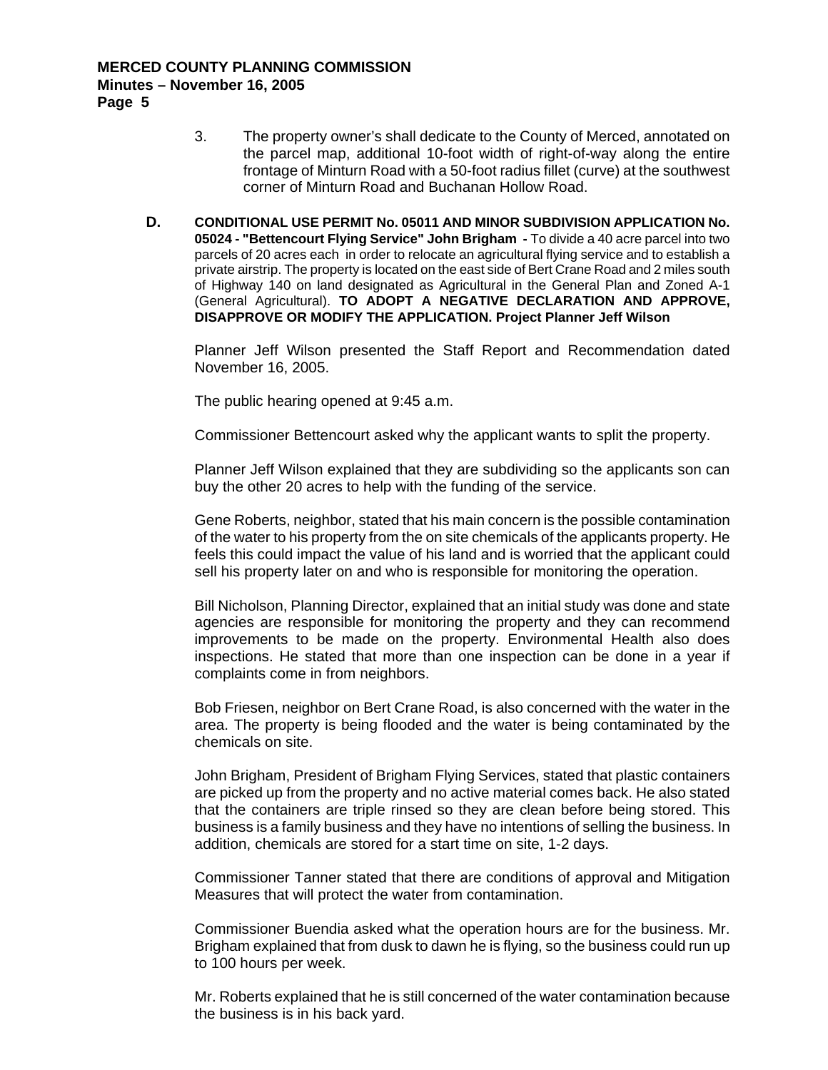- 3. The property owner's shall dedicate to the County of Merced, annotated on the parcel map, additional 10-foot width of right-of-way along the entire frontage of Minturn Road with a 50-foot radius fillet (curve) at the southwest corner of Minturn Road and Buchanan Hollow Road.
- **D. CONDITIONAL USE PERMIT No. 05011 AND MINOR SUBDIVISION APPLICATION No. 05024 - "Bettencourt Flying Service" John Brigham -** To divide a 40 acre parcel into two parcels of 20 acres each in order to relocate an agricultural flying service and to establish a private airstrip. The property is located on the east side of Bert Crane Road and 2 miles south of Highway 140 on land designated as Agricultural in the General Plan and Zoned A-1 (General Agricultural). **TO ADOPT A NEGATIVE DECLARATION AND APPROVE, DISAPPROVE OR MODIFY THE APPLICATION. Project Planner Jeff Wilson**

Planner Jeff Wilson presented the Staff Report and Recommendation dated November 16, 2005.

The public hearing opened at 9:45 a.m.

Commissioner Bettencourt asked why the applicant wants to split the property.

Planner Jeff Wilson explained that they are subdividing so the applicants son can buy the other 20 acres to help with the funding of the service.

Gene Roberts, neighbor, stated that his main concern is the possible contamination of the water to his property from the on site chemicals of the applicants property. He feels this could impact the value of his land and is worried that the applicant could sell his property later on and who is responsible for monitoring the operation.

Bill Nicholson, Planning Director, explained that an initial study was done and state agencies are responsible for monitoring the property and they can recommend improvements to be made on the property. Environmental Health also does inspections. He stated that more than one inspection can be done in a year if complaints come in from neighbors.

Bob Friesen, neighbor on Bert Crane Road, is also concerned with the water in the area. The property is being flooded and the water is being contaminated by the chemicals on site.

John Brigham, President of Brigham Flying Services, stated that plastic containers are picked up from the property and no active material comes back. He also stated that the containers are triple rinsed so they are clean before being stored. This business is a family business and they have no intentions of selling the business. In addition, chemicals are stored for a start time on site, 1-2 days.

Commissioner Tanner stated that there are conditions of approval and Mitigation Measures that will protect the water from contamination.

Commissioner Buendia asked what the operation hours are for the business. Mr. Brigham explained that from dusk to dawn he is flying, so the business could run up to 100 hours per week.

Mr. Roberts explained that he is still concerned of the water contamination because the business is in his back yard.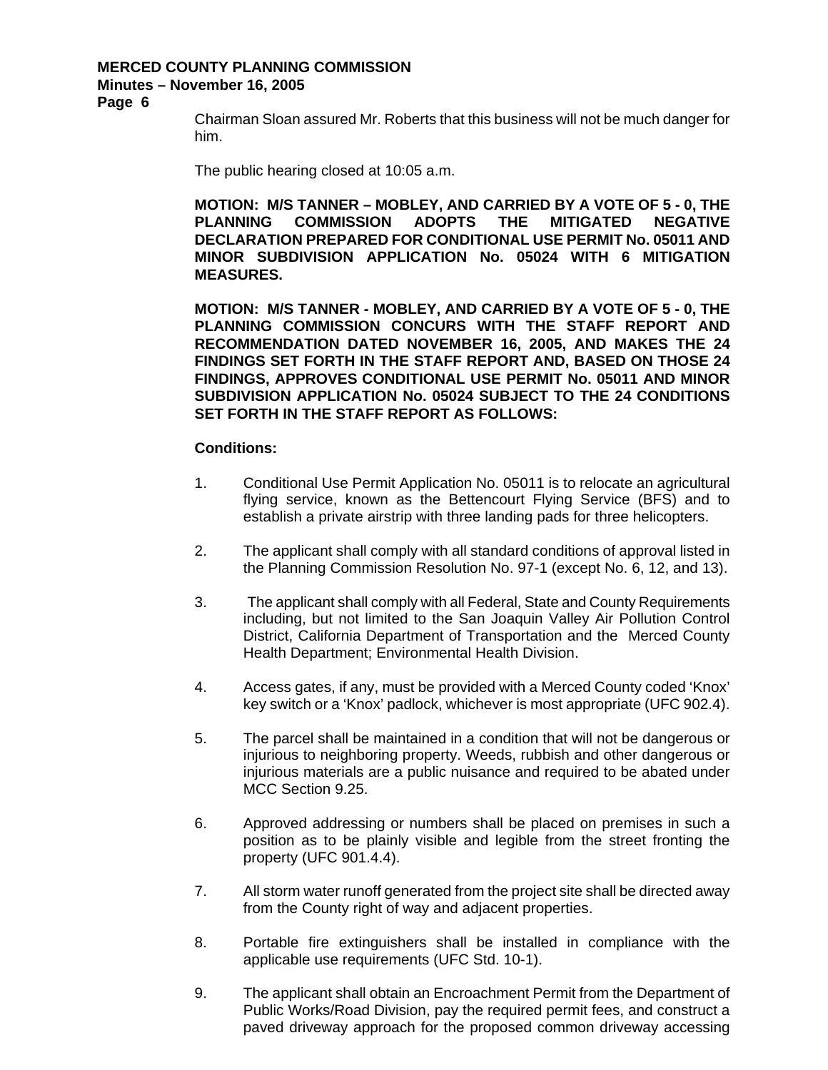# **Minutes – November 16, 2005**

**Page 6** 

Chairman Sloan assured Mr. Roberts that this business will not be much danger for him.

The public hearing closed at 10:05 a.m.

**MOTION: M/S TANNER – MOBLEY, AND CARRIED BY A VOTE OF 5 - 0, THE PLANNING COMMISSION ADOPTS THE MITIGATED NEGATIVE DECLARATION PREPARED FOR CONDITIONAL USE PERMIT No. 05011 AND MINOR SUBDIVISION APPLICATION No. 05024 WITH 6 MITIGATION MEASURES.** 

**MOTION: M/S TANNER - MOBLEY, AND CARRIED BY A VOTE OF 5 - 0, THE PLANNING COMMISSION CONCURS WITH THE STAFF REPORT AND RECOMMENDATION DATED NOVEMBER 16, 2005, AND MAKES THE 24 FINDINGS SET FORTH IN THE STAFF REPORT AND, BASED ON THOSE 24 FINDINGS, APPROVES CONDITIONAL USE PERMIT No. 05011 AND MINOR SUBDIVISION APPLICATION No. 05024 SUBJECT TO THE 24 CONDITIONS SET FORTH IN THE STAFF REPORT AS FOLLOWS:** 

- 1. Conditional Use Permit Application No. 05011 is to relocate an agricultural flying service, known as the Bettencourt Flying Service (BFS) and to establish a private airstrip with three landing pads for three helicopters.
- 2. The applicant shall comply with all standard conditions of approval listed in the Planning Commission Resolution No. 97-1 (except No. 6, 12, and 13).
- 3. The applicant shall comply with all Federal, State and County Requirements including, but not limited to the San Joaquin Valley Air Pollution Control District, California Department of Transportation and the Merced County Health Department; Environmental Health Division.
- 4. Access gates, if any, must be provided with a Merced County coded 'Knox' key switch or a 'Knox' padlock, whichever is most appropriate (UFC 902.4).
- 5. The parcel shall be maintained in a condition that will not be dangerous or injurious to neighboring property. Weeds, rubbish and other dangerous or injurious materials are a public nuisance and required to be abated under MCC Section 9.25.
- 6. Approved addressing or numbers shall be placed on premises in such a position as to be plainly visible and legible from the street fronting the property (UFC 901.4.4).
- 7. All storm water runoff generated from the project site shall be directed away from the County right of way and adjacent properties.
- 8. Portable fire extinguishers shall be installed in compliance with the applicable use requirements (UFC Std. 10-1).
- 9. The applicant shall obtain an Encroachment Permit from the Department of Public Works/Road Division, pay the required permit fees, and construct a paved driveway approach for the proposed common driveway accessing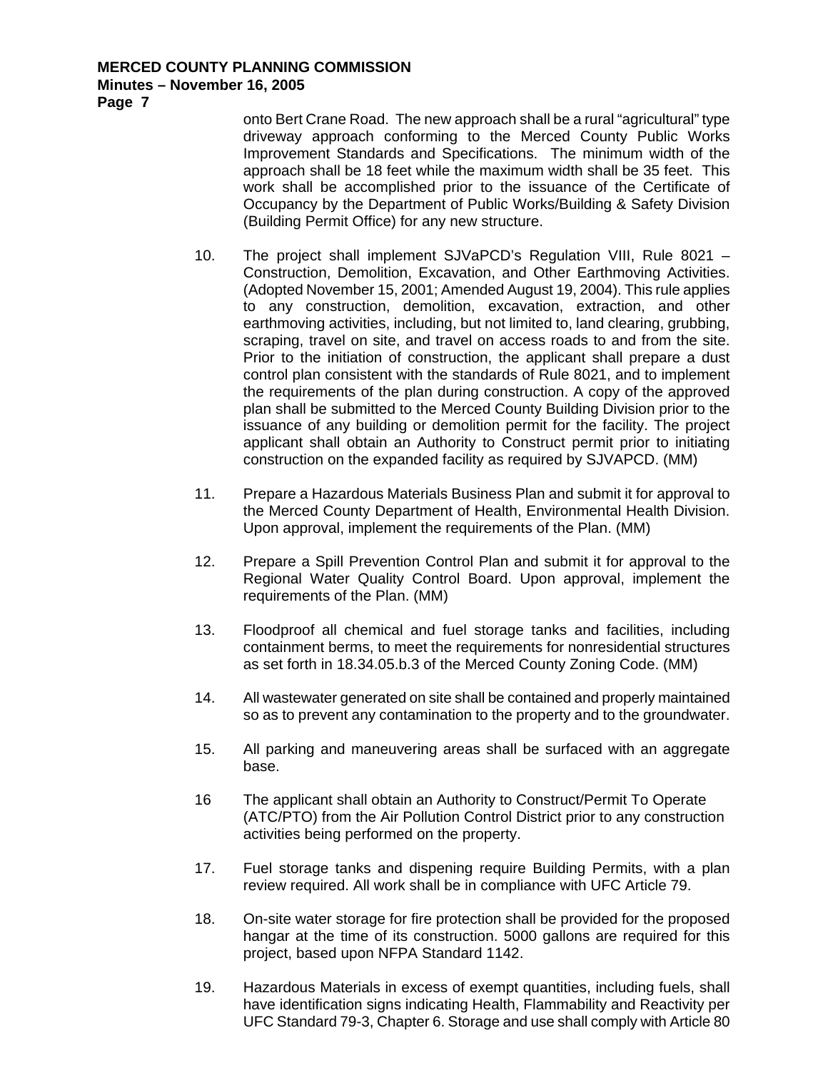**Page 7** 

onto Bert Crane Road. The new approach shall be a rural "agricultural" type driveway approach conforming to the Merced County Public Works Improvement Standards and Specifications. The minimum width of the approach shall be 18 feet while the maximum width shall be 35 feet. This work shall be accomplished prior to the issuance of the Certificate of Occupancy by the Department of Public Works/Building & Safety Division (Building Permit Office) for any new structure.

- 10. The project shall implement SJVaPCD's Regulation VIII, Rule 8021 Construction, Demolition, Excavation, and Other Earthmoving Activities. (Adopted November 15, 2001; Amended August 19, 2004). This rule applies to any construction, demolition, excavation, extraction, and other earthmoving activities, including, but not limited to, land clearing, grubbing, scraping, travel on site, and travel on access roads to and from the site. Prior to the initiation of construction, the applicant shall prepare a dust control plan consistent with the standards of Rule 8021, and to implement the requirements of the plan during construction. A copy of the approved plan shall be submitted to the Merced County Building Division prior to the issuance of any building or demolition permit for the facility. The project applicant shall obtain an Authority to Construct permit prior to initiating construction on the expanded facility as required by SJVAPCD. (MM)
- 11. Prepare a Hazardous Materials Business Plan and submit it for approval to the Merced County Department of Health, Environmental Health Division. Upon approval, implement the requirements of the Plan. (MM)
- 12. Prepare a Spill Prevention Control Plan and submit it for approval to the Regional Water Quality Control Board. Upon approval, implement the requirements of the Plan. (MM)
- 13. Floodproof all chemical and fuel storage tanks and facilities, including containment berms, to meet the requirements for nonresidential structures as set forth in 18.34.05.b.3 of the Merced County Zoning Code. (MM)
- 14. All wastewater generated on site shall be contained and properly maintained so as to prevent any contamination to the property and to the groundwater.
- 15. All parking and maneuvering areas shall be surfaced with an aggregate base.
- 16 The applicant shall obtain an Authority to Construct/Permit To Operate (ATC/PTO) from the Air Pollution Control District prior to any construction activities being performed on the property.
- 17. Fuel storage tanks and dispening require Building Permits, with a plan review required. All work shall be in compliance with UFC Article 79.
- 18. On-site water storage for fire protection shall be provided for the proposed hangar at the time of its construction. 5000 gallons are required for this project, based upon NFPA Standard 1142.
- 19. Hazardous Materials in excess of exempt quantities, including fuels, shall have identification signs indicating Health, Flammability and Reactivity per UFC Standard 79-3, Chapter 6. Storage and use shall comply with Article 80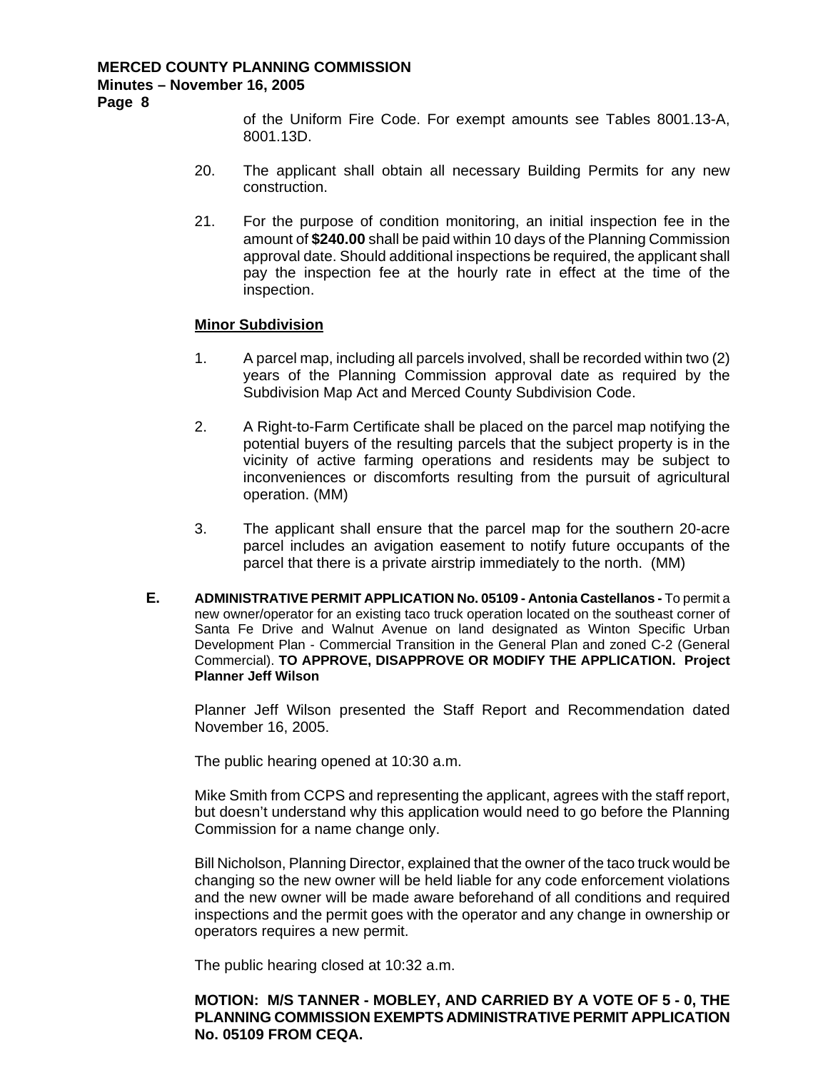**Page 8** 

of the Uniform Fire Code. For exempt amounts see Tables 8001.13-A, 8001.13D.

- 20. The applicant shall obtain all necessary Building Permits for any new construction.
- 21. For the purpose of condition monitoring, an initial inspection fee in the amount of **\$240.00** shall be paid within 10 days of the Planning Commission approval date. Should additional inspections be required, the applicant shall pay the inspection fee at the hourly rate in effect at the time of the inspection.

#### **Minor Subdivision**

- 1. A parcel map, including all parcels involved, shall be recorded within two (2) years of the Planning Commission approval date as required by the Subdivision Map Act and Merced County Subdivision Code.
- 2. A Right-to-Farm Certificate shall be placed on the parcel map notifying the potential buyers of the resulting parcels that the subject property is in the vicinity of active farming operations and residents may be subject to inconveniences or discomforts resulting from the pursuit of agricultural operation. (MM)
- 3. The applicant shall ensure that the parcel map for the southern 20-acre parcel includes an avigation easement to notify future occupants of the parcel that there is a private airstrip immediately to the north. (MM)
- **E. ADMINISTRATIVE PERMIT APPLICATION No. 05109 Antonia Castellanos** To permit a new owner/operator for an existing taco truck operation located on the southeast corner of Santa Fe Drive and Walnut Avenue on land designated as Winton Specific Urban Development Plan - Commercial Transition in the General Plan and zoned C-2 (General Commercial). **TO APPROVE, DISAPPROVE OR MODIFY THE APPLICATION. Project Planner Jeff Wilson**

Planner Jeff Wilson presented the Staff Report and Recommendation dated November 16, 2005.

The public hearing opened at 10:30 a.m.

Mike Smith from CCPS and representing the applicant, agrees with the staff report, but doesn't understand why this application would need to go before the Planning Commission for a name change only.

Bill Nicholson, Planning Director, explained that the owner of the taco truck would be changing so the new owner will be held liable for any code enforcement violations and the new owner will be made aware beforehand of all conditions and required inspections and the permit goes with the operator and any change in ownership or operators requires a new permit.

The public hearing closed at 10:32 a.m.

**MOTION: M/S TANNER - MOBLEY, AND CARRIED BY A VOTE OF 5 - 0, THE PLANNING COMMISSION EXEMPTS ADMINISTRATIVE PERMIT APPLICATION No. 05109 FROM CEQA.**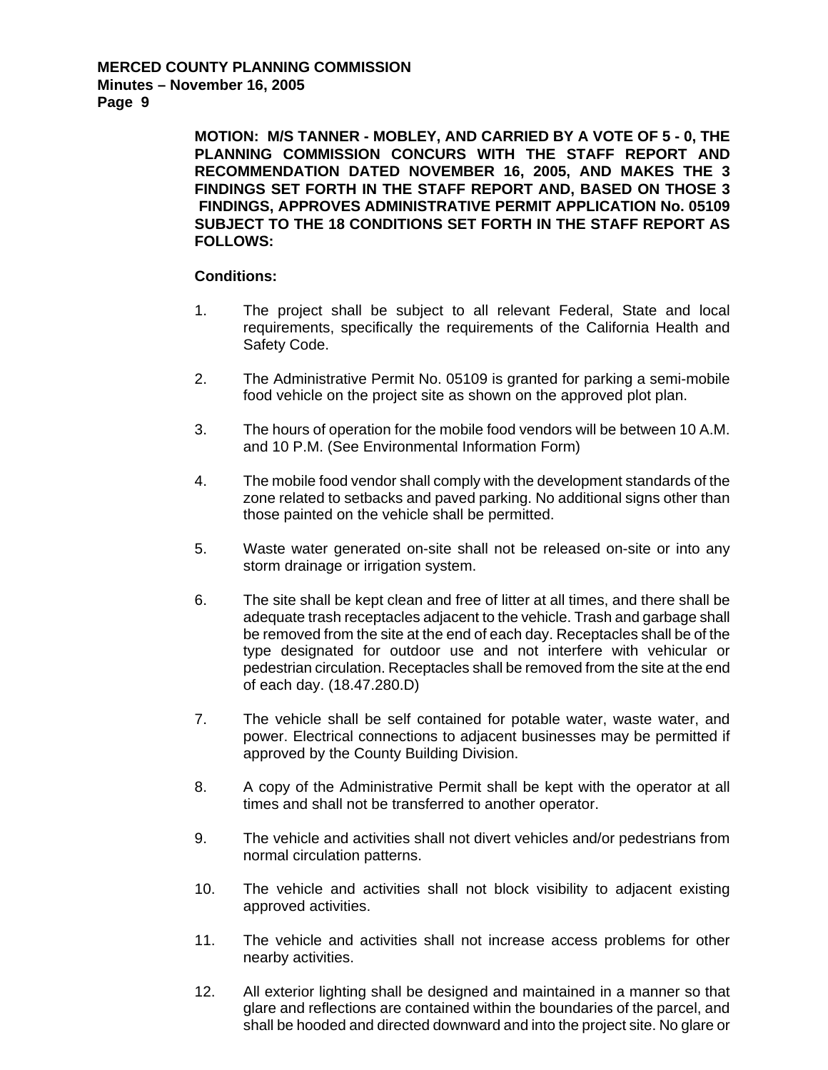**MOTION: M/S TANNER - MOBLEY, AND CARRIED BY A VOTE OF 5 - 0, THE PLANNING COMMISSION CONCURS WITH THE STAFF REPORT AND RECOMMENDATION DATED NOVEMBER 16, 2005, AND MAKES THE 3 FINDINGS SET FORTH IN THE STAFF REPORT AND, BASED ON THOSE 3 FINDINGS, APPROVES ADMINISTRATIVE PERMIT APPLICATION No. 05109 SUBJECT TO THE 18 CONDITIONS SET FORTH IN THE STAFF REPORT AS FOLLOWS:** 

- 1. The project shall be subject to all relevant Federal, State and local requirements, specifically the requirements of the California Health and Safety Code.
- 2. The Administrative Permit No. 05109 is granted for parking a semi-mobile food vehicle on the project site as shown on the approved plot plan.
- 3. The hours of operation for the mobile food vendors will be between 10 A.M. and 10 P.M. (See Environmental Information Form)
- 4. The mobile food vendor shall comply with the development standards of the zone related to setbacks and paved parking. No additional signs other than those painted on the vehicle shall be permitted.
- 5. Waste water generated on-site shall not be released on-site or into any storm drainage or irrigation system.
- 6. The site shall be kept clean and free of litter at all times, and there shall be adequate trash receptacles adjacent to the vehicle. Trash and garbage shall be removed from the site at the end of each day. Receptacles shall be of the type designated for outdoor use and not interfere with vehicular or pedestrian circulation. Receptacles shall be removed from the site at the end of each day. (18.47.280.D)
- 7. The vehicle shall be self contained for potable water, waste water, and power. Electrical connections to adjacent businesses may be permitted if approved by the County Building Division.
- 8. A copy of the Administrative Permit shall be kept with the operator at all times and shall not be transferred to another operator.
- 9. The vehicle and activities shall not divert vehicles and/or pedestrians from normal circulation patterns.
- 10. The vehicle and activities shall not block visibility to adjacent existing approved activities.
- 11. The vehicle and activities shall not increase access problems for other nearby activities.
- 12. All exterior lighting shall be designed and maintained in a manner so that glare and reflections are contained within the boundaries of the parcel, and shall be hooded and directed downward and into the project site. No glare or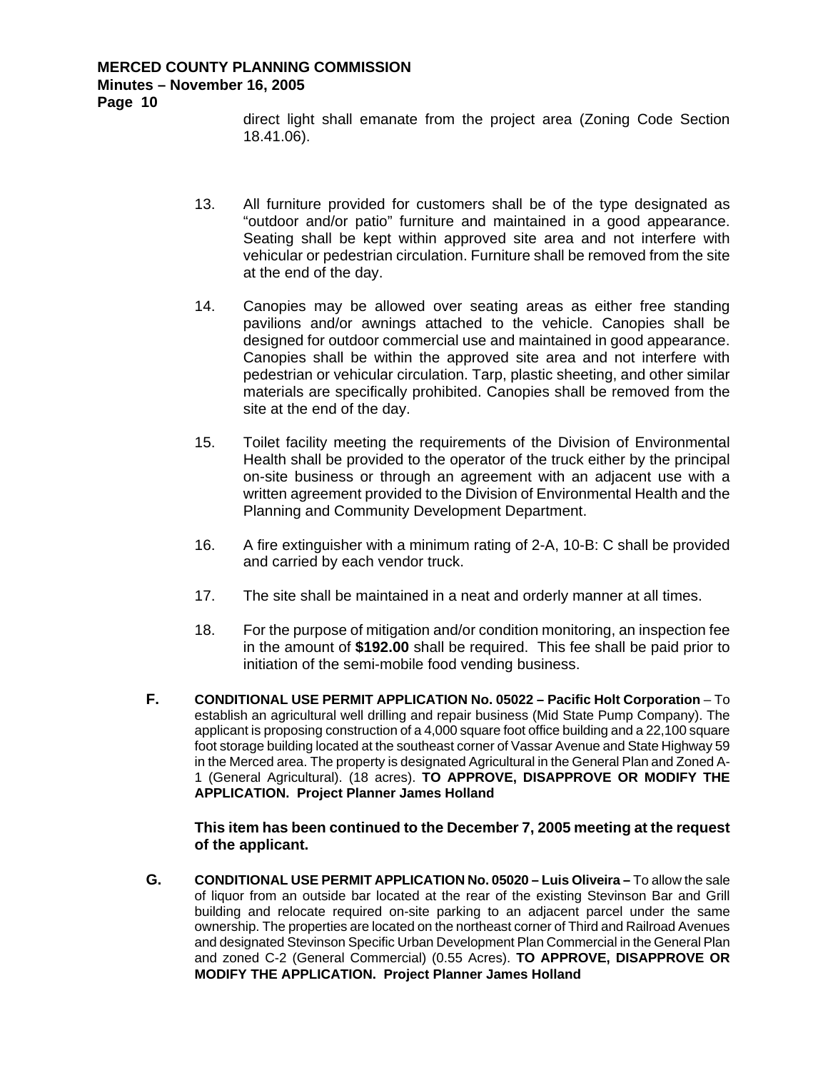direct light shall emanate from the project area (Zoning Code Section 18.41.06).

- 13. All furniture provided for customers shall be of the type designated as "outdoor and/or patio" furniture and maintained in a good appearance. Seating shall be kept within approved site area and not interfere with vehicular or pedestrian circulation. Furniture shall be removed from the site at the end of the day.
- 14. Canopies may be allowed over seating areas as either free standing pavilions and/or awnings attached to the vehicle. Canopies shall be designed for outdoor commercial use and maintained in good appearance. Canopies shall be within the approved site area and not interfere with pedestrian or vehicular circulation. Tarp, plastic sheeting, and other similar materials are specifically prohibited. Canopies shall be removed from the site at the end of the day.
- 15. Toilet facility meeting the requirements of the Division of Environmental Health shall be provided to the operator of the truck either by the principal on-site business or through an agreement with an adjacent use with a written agreement provided to the Division of Environmental Health and the Planning and Community Development Department.
- 16. A fire extinguisher with a minimum rating of 2-A, 10-B: C shall be provided and carried by each vendor truck.
- 17. The site shall be maintained in a neat and orderly manner at all times.
- 18. For the purpose of mitigation and/or condition monitoring, an inspection fee in the amount of **\$192.00** shall be required. This fee shall be paid prior to initiation of the semi-mobile food vending business.
- **F. CONDITIONAL USE PERMIT APPLICATION No. 05022 Pacific Holt Corporation** To establish an agricultural well drilling and repair business (Mid State Pump Company). The applicant is proposing construction of a 4,000 square foot office building and a 22,100 square foot storage building located at the southeast corner of Vassar Avenue and State Highway 59 in the Merced area. The property is designated Agricultural in the General Plan and Zoned A-1 (General Agricultural). (18 acres). **TO APPROVE, DISAPPROVE OR MODIFY THE APPLICATION. Project Planner James Holland**

#### **This item has been continued to the December 7, 2005 meeting at the request of the applicant.**

**G. CONDITIONAL USE PERMIT APPLICATION No. 05020 – Luis Oliveira –** To allow the sale of liquor from an outside bar located at the rear of the existing Stevinson Bar and Grill building and relocate required on-site parking to an adjacent parcel under the same ownership. The properties are located on the northeast corner of Third and Railroad Avenues and designated Stevinson Specific Urban Development Plan Commercial in the General Plan and zoned C-2 (General Commercial) (0.55 Acres). **TO APPROVE, DISAPPROVE OR MODIFY THE APPLICATION. Project Planner James Holland**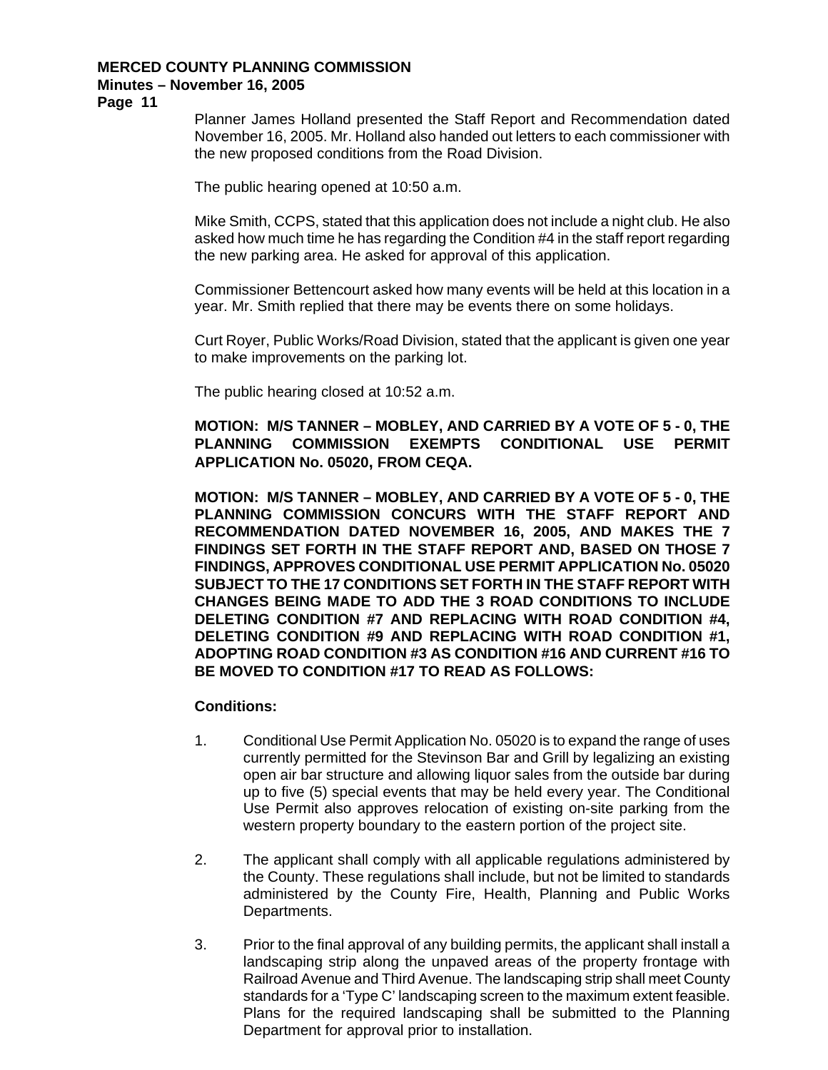# **Minutes – November 16, 2005**

**Page 11** 

Planner James Holland presented the Staff Report and Recommendation dated November 16, 2005. Mr. Holland also handed out letters to each commissioner with the new proposed conditions from the Road Division.

The public hearing opened at 10:50 a.m.

Mike Smith, CCPS, stated that this application does not include a night club. He also asked how much time he has regarding the Condition #4 in the staff report regarding the new parking area. He asked for approval of this application.

Commissioner Bettencourt asked how many events will be held at this location in a year. Mr. Smith replied that there may be events there on some holidays.

Curt Royer, Public Works/Road Division, stated that the applicant is given one year to make improvements on the parking lot.

The public hearing closed at 10:52 a.m.

**MOTION: M/S TANNER – MOBLEY, AND CARRIED BY A VOTE OF 5 - 0, THE PLANNING COMMISSION EXEMPTS CONDITIONAL USE PERMIT APPLICATION No. 05020, FROM CEQA.** 

**MOTION: M/S TANNER – MOBLEY, AND CARRIED BY A VOTE OF 5 - 0, THE PLANNING COMMISSION CONCURS WITH THE STAFF REPORT AND RECOMMENDATION DATED NOVEMBER 16, 2005, AND MAKES THE 7 FINDINGS SET FORTH IN THE STAFF REPORT AND, BASED ON THOSE 7 FINDINGS, APPROVES CONDITIONAL USE PERMIT APPLICATION No. 05020 SUBJECT TO THE 17 CONDITIONS SET FORTH IN THE STAFF REPORT WITH CHANGES BEING MADE TO ADD THE 3 ROAD CONDITIONS TO INCLUDE DELETING CONDITION #7 AND REPLACING WITH ROAD CONDITION #4, DELETING CONDITION #9 AND REPLACING WITH ROAD CONDITION #1, ADOPTING ROAD CONDITION #3 AS CONDITION #16 AND CURRENT #16 TO BE MOVED TO CONDITION #17 TO READ AS FOLLOWS:** 

- 1. Conditional Use Permit Application No. 05020 is to expand the range of uses currently permitted for the Stevinson Bar and Grill by legalizing an existing open air bar structure and allowing liquor sales from the outside bar during up to five (5) special events that may be held every year. The Conditional Use Permit also approves relocation of existing on-site parking from the western property boundary to the eastern portion of the project site.
- 2. The applicant shall comply with all applicable regulations administered by the County. These regulations shall include, but not be limited to standards administered by the County Fire, Health, Planning and Public Works Departments.
- 3. Prior to the final approval of any building permits, the applicant shall install a landscaping strip along the unpaved areas of the property frontage with Railroad Avenue and Third Avenue. The landscaping strip shall meet County standards for a 'Type C' landscaping screen to the maximum extent feasible. Plans for the required landscaping shall be submitted to the Planning Department for approval prior to installation.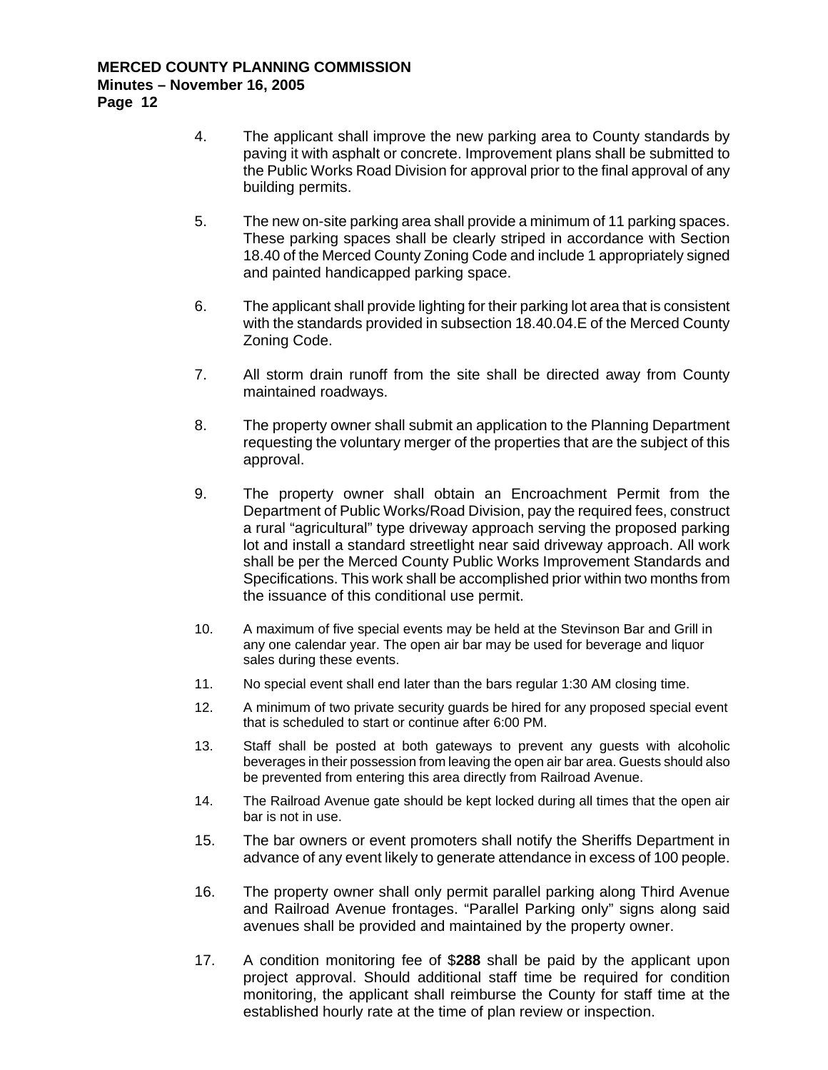- 4. The applicant shall improve the new parking area to County standards by paving it with asphalt or concrete. Improvement plans shall be submitted to the Public Works Road Division for approval prior to the final approval of any building permits.
- 5. The new on-site parking area shall provide a minimum of 11 parking spaces. These parking spaces shall be clearly striped in accordance with Section 18.40 of the Merced County Zoning Code and include 1 appropriately signed and painted handicapped parking space.
- 6. The applicant shall provide lighting for their parking lot area that is consistent with the standards provided in subsection 18.40.04.E of the Merced County Zoning Code.
- 7. All storm drain runoff from the site shall be directed away from County maintained roadways.
- 8. The property owner shall submit an application to the Planning Department requesting the voluntary merger of the properties that are the subject of this approval.
- 9. The property owner shall obtain an Encroachment Permit from the Department of Public Works/Road Division, pay the required fees, construct a rural "agricultural" type driveway approach serving the proposed parking lot and install a standard streetlight near said driveway approach. All work shall be per the Merced County Public Works Improvement Standards and Specifications. This work shall be accomplished prior within two months from the issuance of this conditional use permit.
- 10. A maximum of five special events may be held at the Stevinson Bar and Grill in any one calendar year. The open air bar may be used for beverage and liquor sales during these events.
- 11. No special event shall end later than the bars regular 1:30 AM closing time.
- 12. A minimum of two private security guards be hired for any proposed special event that is scheduled to start or continue after 6:00 PM.
- 13. Staff shall be posted at both gateways to prevent any guests with alcoholic beverages in their possession from leaving the open air bar area. Guests should also be prevented from entering this area directly from Railroad Avenue.
- 14. The Railroad Avenue gate should be kept locked during all times that the open air bar is not in use.
- 15. The bar owners or event promoters shall notify the Sheriffs Department in advance of any event likely to generate attendance in excess of 100 people.
- 16. The property owner shall only permit parallel parking along Third Avenue and Railroad Avenue frontages. "Parallel Parking only" signs along said avenues shall be provided and maintained by the property owner.
- 17. A condition monitoring fee of \$**288** shall be paid by the applicant upon project approval. Should additional staff time be required for condition monitoring, the applicant shall reimburse the County for staff time at the established hourly rate at the time of plan review or inspection.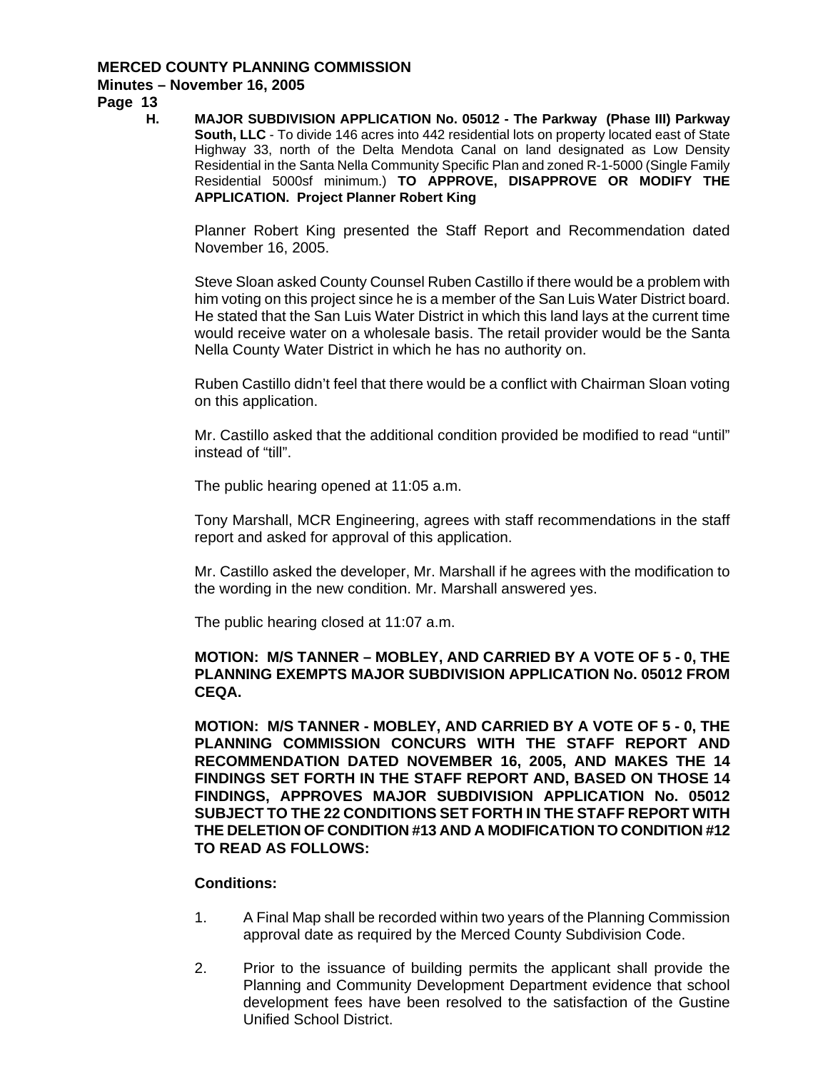### **Minutes – November 16, 2005**

**Page 13** 

**H. MAJOR SUBDIVISION APPLICATION No. 05012 - The Parkway (Phase III) Parkway South, LLC** - To divide 146 acres into 442 residential lots on property located east of State Highway 33, north of the Delta Mendota Canal on land designated as Low Density Residential in the Santa Nella Community Specific Plan and zoned R-1-5000 (Single Family Residential 5000sf minimum.) **TO APPROVE, DISAPPROVE OR MODIFY THE APPLICATION. Project Planner Robert King** 

Planner Robert King presented the Staff Report and Recommendation dated November 16, 2005.

Steve Sloan asked County Counsel Ruben Castillo if there would be a problem with him voting on this project since he is a member of the San Luis Water District board. He stated that the San Luis Water District in which this land lays at the current time would receive water on a wholesale basis. The retail provider would be the Santa Nella County Water District in which he has no authority on.

Ruben Castillo didn't feel that there would be a conflict with Chairman Sloan voting on this application.

Mr. Castillo asked that the additional condition provided be modified to read "until" instead of "till".

The public hearing opened at 11:05 a.m.

Tony Marshall, MCR Engineering, agrees with staff recommendations in the staff report and asked for approval of this application.

Mr. Castillo asked the developer, Mr. Marshall if he agrees with the modification to the wording in the new condition. Mr. Marshall answered yes.

The public hearing closed at 11:07 a.m.

### **MOTION: M/S TANNER – MOBLEY, AND CARRIED BY A VOTE OF 5 - 0, THE PLANNING EXEMPTS MAJOR SUBDIVISION APPLICATION No. 05012 FROM CEQA.**

**MOTION: M/S TANNER - MOBLEY, AND CARRIED BY A VOTE OF 5 - 0, THE PLANNING COMMISSION CONCURS WITH THE STAFF REPORT AND RECOMMENDATION DATED NOVEMBER 16, 2005, AND MAKES THE 14 FINDINGS SET FORTH IN THE STAFF REPORT AND, BASED ON THOSE 14 FINDINGS, APPROVES MAJOR SUBDIVISION APPLICATION No. 05012 SUBJECT TO THE 22 CONDITIONS SET FORTH IN THE STAFF REPORT WITH THE DELETION OF CONDITION #13 AND A MODIFICATION TO CONDITION #12 TO READ AS FOLLOWS:** 

- 1. A Final Map shall be recorded within two years of the Planning Commission approval date as required by the Merced County Subdivision Code.
- 2. Prior to the issuance of building permits the applicant shall provide the Planning and Community Development Department evidence that school development fees have been resolved to the satisfaction of the Gustine Unified School District.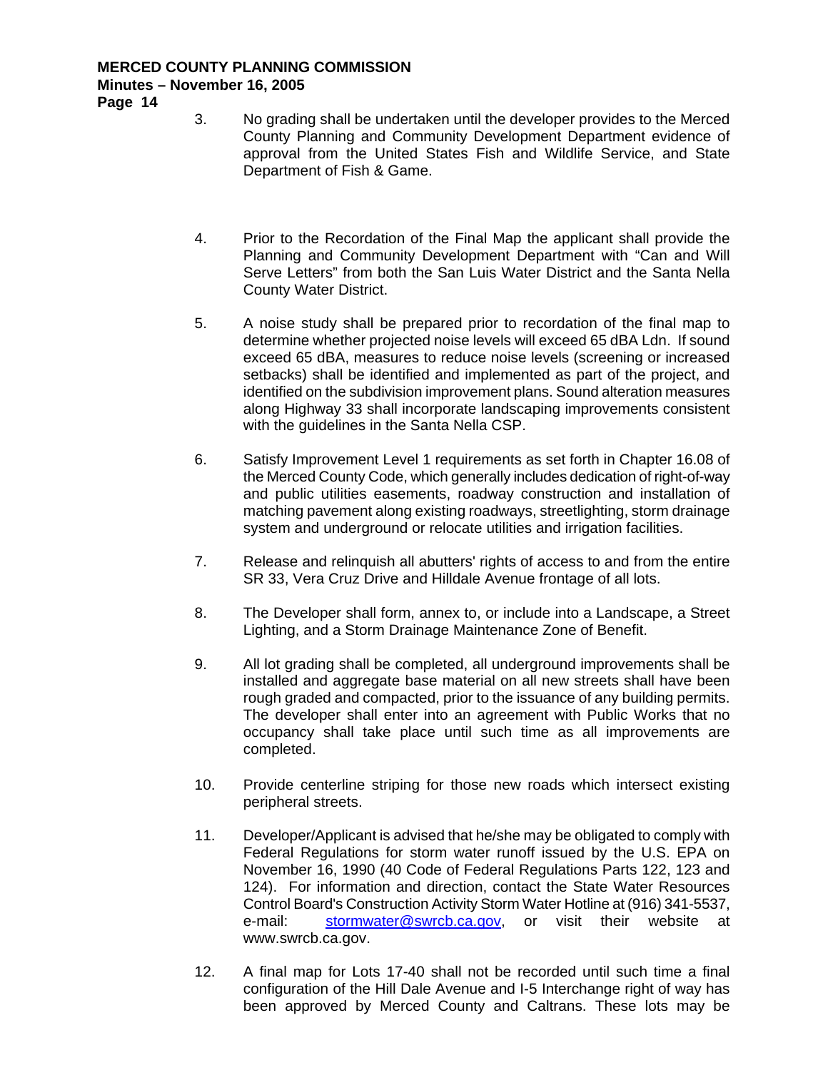**Page 14** 

- 3. No grading shall be undertaken until the developer provides to the Merced County Planning and Community Development Department evidence of approval from the United States Fish and Wildlife Service, and State Department of Fish & Game.
- 4. Prior to the Recordation of the Final Map the applicant shall provide the Planning and Community Development Department with "Can and Will Serve Letters" from both the San Luis Water District and the Santa Nella County Water District.
- 5. A noise study shall be prepared prior to recordation of the final map to determine whether projected noise levels will exceed 65 dBA Ldn. If sound exceed 65 dBA, measures to reduce noise levels (screening or increased setbacks) shall be identified and implemented as part of the project, and identified on the subdivision improvement plans. Sound alteration measures along Highway 33 shall incorporate landscaping improvements consistent with the guidelines in the Santa Nella CSP.
- 6. Satisfy Improvement Level 1 requirements as set forth in Chapter 16.08 of the Merced County Code, which generally includes dedication of right-of-way and public utilities easements, roadway construction and installation of matching pavement along existing roadways, streetlighting, storm drainage system and underground or relocate utilities and irrigation facilities.
- 7. Release and relinquish all abutters' rights of access to and from the entire SR 33, Vera Cruz Drive and Hilldale Avenue frontage of all lots.
- 8. The Developer shall form, annex to, or include into a Landscape, a Street Lighting, and a Storm Drainage Maintenance Zone of Benefit.
- 9. All lot grading shall be completed, all underground improvements shall be installed and aggregate base material on all new streets shall have been rough graded and compacted, prior to the issuance of any building permits. The developer shall enter into an agreement with Public Works that no occupancy shall take place until such time as all improvements are completed.
- 10. Provide centerline striping for those new roads which intersect existing peripheral streets.
- 11. Developer/Applicant is advised that he/she may be obligated to comply with Federal Regulations for storm water runoff issued by the U.S. EPA on November 16, 1990 (40 Code of Federal Regulations Parts 122, 123 and 124). For information and direction, contact the State Water Resources Control Board's Construction Activity Storm Water Hotline at (916) 341-5537, e-mail: [stormwater@swrcb.ca.gov,](mailto:stormwater@swrcb.ca.gov) or visit their website at www.swrcb.ca.gov.
- 12. A final map for Lots 17-40 shall not be recorded until such time a final configuration of the Hill Dale Avenue and I-5 Interchange right of way has been approved by Merced County and Caltrans. These lots may be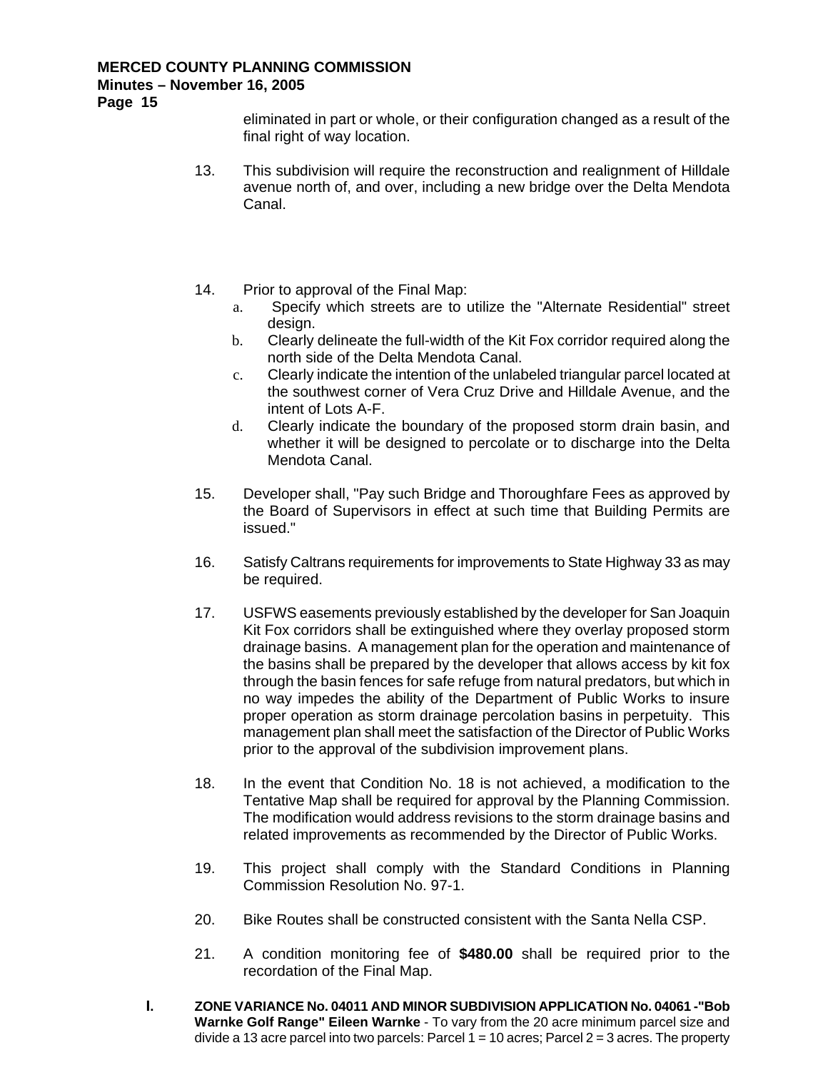# **Minutes – November 16, 2005**

**Page 15** 

eliminated in part or whole, or their configuration changed as a result of the final right of way location.

- 13. This subdivision will require the reconstruction and realignment of Hilldale avenue north of, and over, including a new bridge over the Delta Mendota Canal.
- 14. Prior to approval of the Final Map:
	- a. Specify which streets are to utilize the "Alternate Residential" street design.
	- b. Clearly delineate the full-width of the Kit Fox corridor required along the north side of the Delta Mendota Canal.
	- c. Clearly indicate the intention of the unlabeled triangular parcel located at the southwest corner of Vera Cruz Drive and Hilldale Avenue, and the intent of Lots A-F.
	- d. Clearly indicate the boundary of the proposed storm drain basin, and whether it will be designed to percolate or to discharge into the Delta Mendota Canal.
- 15. Developer shall, "Pay such Bridge and Thoroughfare Fees as approved by the Board of Supervisors in effect at such time that Building Permits are issued."
- 16. Satisfy Caltrans requirements for improvements to State Highway 33 as may be required.
- 17. USFWS easements previously established by the developer for San Joaquin Kit Fox corridors shall be extinguished where they overlay proposed storm drainage basins. A management plan for the operation and maintenance of the basins shall be prepared by the developer that allows access by kit fox through the basin fences for safe refuge from natural predators, but which in no way impedes the ability of the Department of Public Works to insure proper operation as storm drainage percolation basins in perpetuity. This management plan shall meet the satisfaction of the Director of Public Works prior to the approval of the subdivision improvement plans.
- 18. In the event that Condition No. 18 is not achieved, a modification to the Tentative Map shall be required for approval by the Planning Commission. The modification would address revisions to the storm drainage basins and related improvements as recommended by the Director of Public Works.
- 19. This project shall comply with the Standard Conditions in Planning Commission Resolution No. 97-1.
- 20. Bike Routes shall be constructed consistent with the Santa Nella CSP.
- 21. A condition monitoring fee of **\$480.00** shall be required prior to the recordation of the Final Map.
- **I. ZONE VARIANCE No. 04011 AND MINOR SUBDIVISION APPLICATION No. 04061 -"Bob Warnke Golf Range" Eileen Warnke** - To vary from the 20 acre minimum parcel size and divide a 13 acre parcel into two parcels: Parcel  $1 = 10$  acres; Parcel  $2 = 3$  acres. The property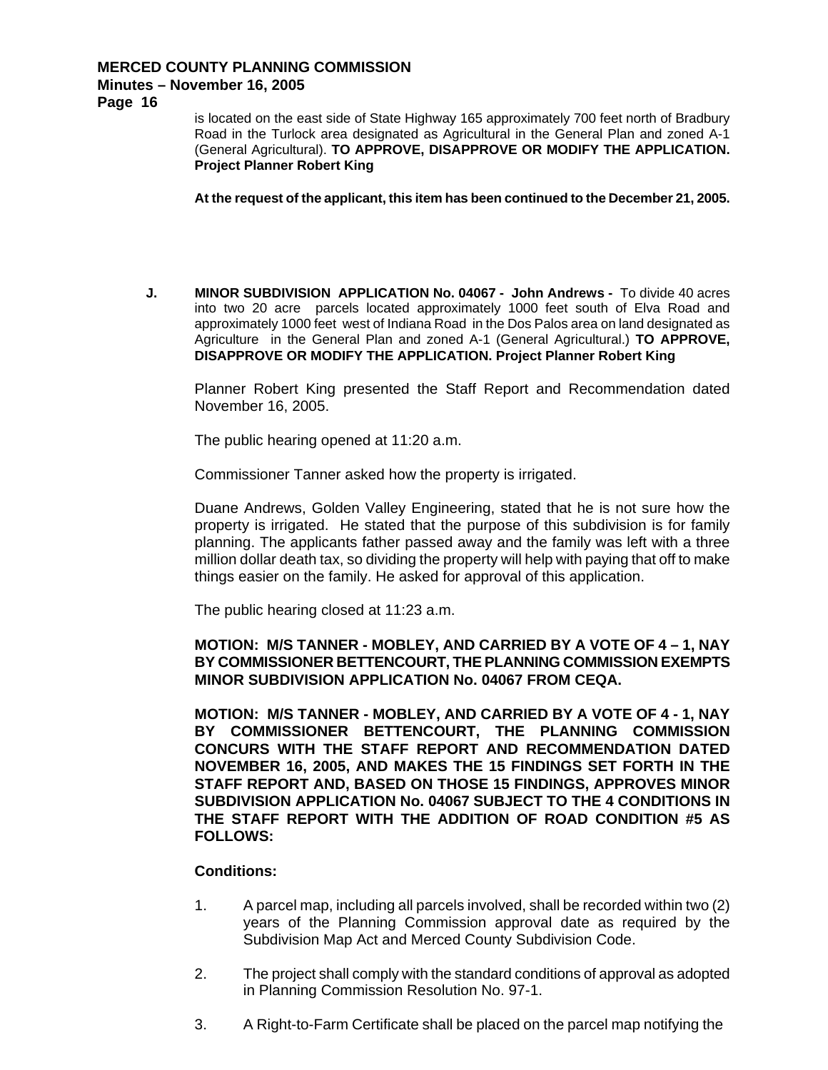# **Minutes – November 16, 2005**

**Page 16** 

is located on the east side of State Highway 165 approximately 700 feet north of Bradbury Road in the Turlock area designated as Agricultural in the General Plan and zoned A-1 (General Agricultural). **TO APPROVE, DISAPPROVE OR MODIFY THE APPLICATION. Project Planner Robert King** 

**At the request of the applicant, this item has been continued to the December 21, 2005.** 

**J. MINOR SUBDIVISION APPLICATION No. 04067 - John Andrews -** To divide 40 acres into two 20 acre parcels located approximately 1000 feet south of Elva Road and approximately 1000 feet west of Indiana Road in the Dos Palos area on land designated as Agriculture in the General Plan and zoned A-1 (General Agricultural.) **TO APPROVE, DISAPPROVE OR MODIFY THE APPLICATION. Project Planner Robert King**

Planner Robert King presented the Staff Report and Recommendation dated November 16, 2005.

The public hearing opened at 11:20 a.m.

Commissioner Tanner asked how the property is irrigated.

Duane Andrews, Golden Valley Engineering, stated that he is not sure how the property is irrigated. He stated that the purpose of this subdivision is for family planning. The applicants father passed away and the family was left with a three million dollar death tax, so dividing the property will help with paying that off to make things easier on the family. He asked for approval of this application.

The public hearing closed at 11:23 a.m.

### **MOTION: M/S TANNER - MOBLEY, AND CARRIED BY A VOTE OF 4 – 1, NAY BY COMMISSIONER BETTENCOURT, THE PLANNING COMMISSION EXEMPTS MINOR SUBDIVISION APPLICATION No. 04067 FROM CEQA.**

**MOTION: M/S TANNER - MOBLEY, AND CARRIED BY A VOTE OF 4 - 1, NAY BY COMMISSIONER BETTENCOURT, THE PLANNING COMMISSION CONCURS WITH THE STAFF REPORT AND RECOMMENDATION DATED NOVEMBER 16, 2005, AND MAKES THE 15 FINDINGS SET FORTH IN THE STAFF REPORT AND, BASED ON THOSE 15 FINDINGS, APPROVES MINOR SUBDIVISION APPLICATION No. 04067 SUBJECT TO THE 4 CONDITIONS IN THE STAFF REPORT WITH THE ADDITION OF ROAD CONDITION #5 AS FOLLOWS:** 

- 1. A parcel map, including all parcels involved, shall be recorded within two (2) years of the Planning Commission approval date as required by the Subdivision Map Act and Merced County Subdivision Code.
- 2. The project shall comply with the standard conditions of approval as adopted in Planning Commission Resolution No. 97-1.
- 3. A Right-to-Farm Certificate shall be placed on the parcel map notifying the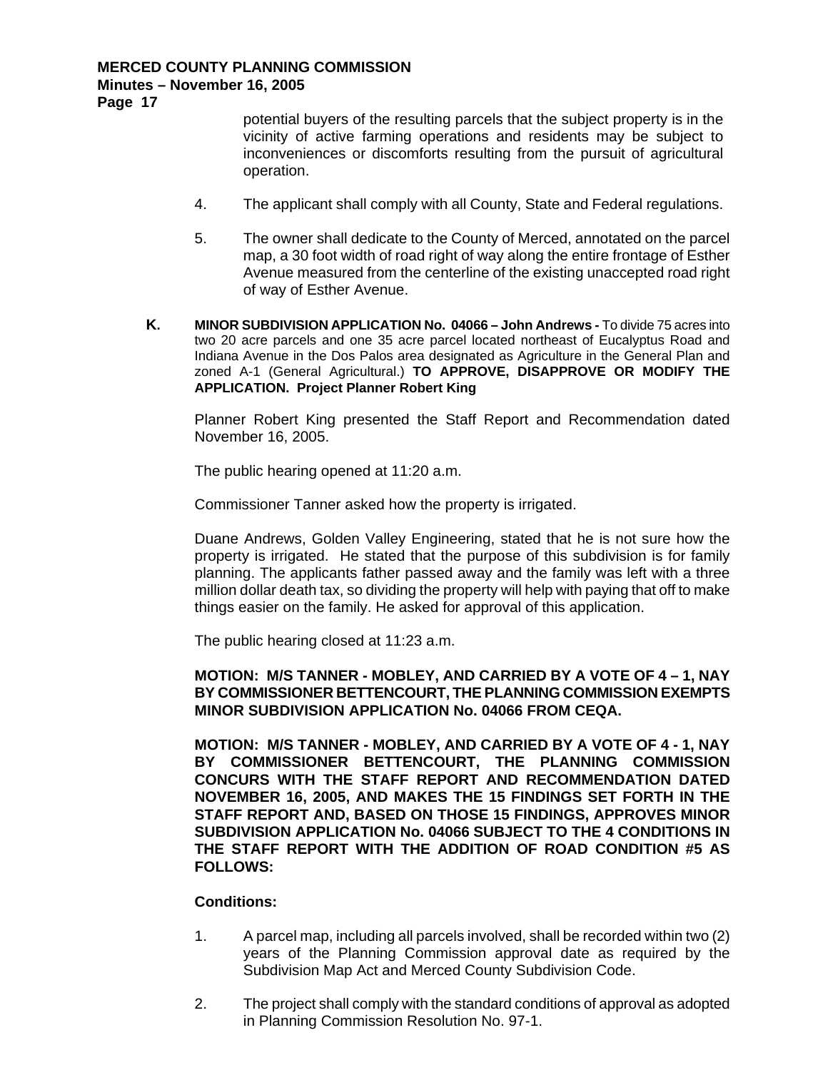**Page 17** 

potential buyers of the resulting parcels that the subject property is in the vicinity of active farming operations and residents may be subject to inconveniences or discomforts resulting from the pursuit of agricultural operation.

- 4. The applicant shall comply with all County, State and Federal regulations.
- 5. The owner shall dedicate to the County of Merced, annotated on the parcel map, a 30 foot width of road right of way along the entire frontage of Esther Avenue measured from the centerline of the existing unaccepted road right of way of Esther Avenue.
- **K. MINOR SUBDIVISION APPLICATION No. 04066 John Andrews** To divide 75 acres into two 20 acre parcels and one 35 acre parcel located northeast of Eucalyptus Road and Indiana Avenue in the Dos Palos area designated as Agriculture in the General Plan and zoned A-1 (General Agricultural.) **TO APPROVE, DISAPPROVE OR MODIFY THE APPLICATION. Project Planner Robert King**

Planner Robert King presented the Staff Report and Recommendation dated November 16, 2005.

The public hearing opened at 11:20 a.m.

Commissioner Tanner asked how the property is irrigated.

Duane Andrews, Golden Valley Engineering, stated that he is not sure how the property is irrigated. He stated that the purpose of this subdivision is for family planning. The applicants father passed away and the family was left with a three million dollar death tax, so dividing the property will help with paying that off to make things easier on the family. He asked for approval of this application.

The public hearing closed at 11:23 a.m.

**MOTION: M/S TANNER - MOBLEY, AND CARRIED BY A VOTE OF 4 – 1, NAY BY COMMISSIONER BETTENCOURT, THE PLANNING COMMISSION EXEMPTS MINOR SUBDIVISION APPLICATION No. 04066 FROM CEQA.** 

**MOTION: M/S TANNER - MOBLEY, AND CARRIED BY A VOTE OF 4 - 1, NAY BY COMMISSIONER BETTENCOURT, THE PLANNING COMMISSION CONCURS WITH THE STAFF REPORT AND RECOMMENDATION DATED NOVEMBER 16, 2005, AND MAKES THE 15 FINDINGS SET FORTH IN THE STAFF REPORT AND, BASED ON THOSE 15 FINDINGS, APPROVES MINOR SUBDIVISION APPLICATION No. 04066 SUBJECT TO THE 4 CONDITIONS IN THE STAFF REPORT WITH THE ADDITION OF ROAD CONDITION #5 AS FOLLOWS:** 

- 1. A parcel map, including all parcels involved, shall be recorded within two (2) years of the Planning Commission approval date as required by the Subdivision Map Act and Merced County Subdivision Code.
- 2. The project shall comply with the standard conditions of approval as adopted in Planning Commission Resolution No. 97-1.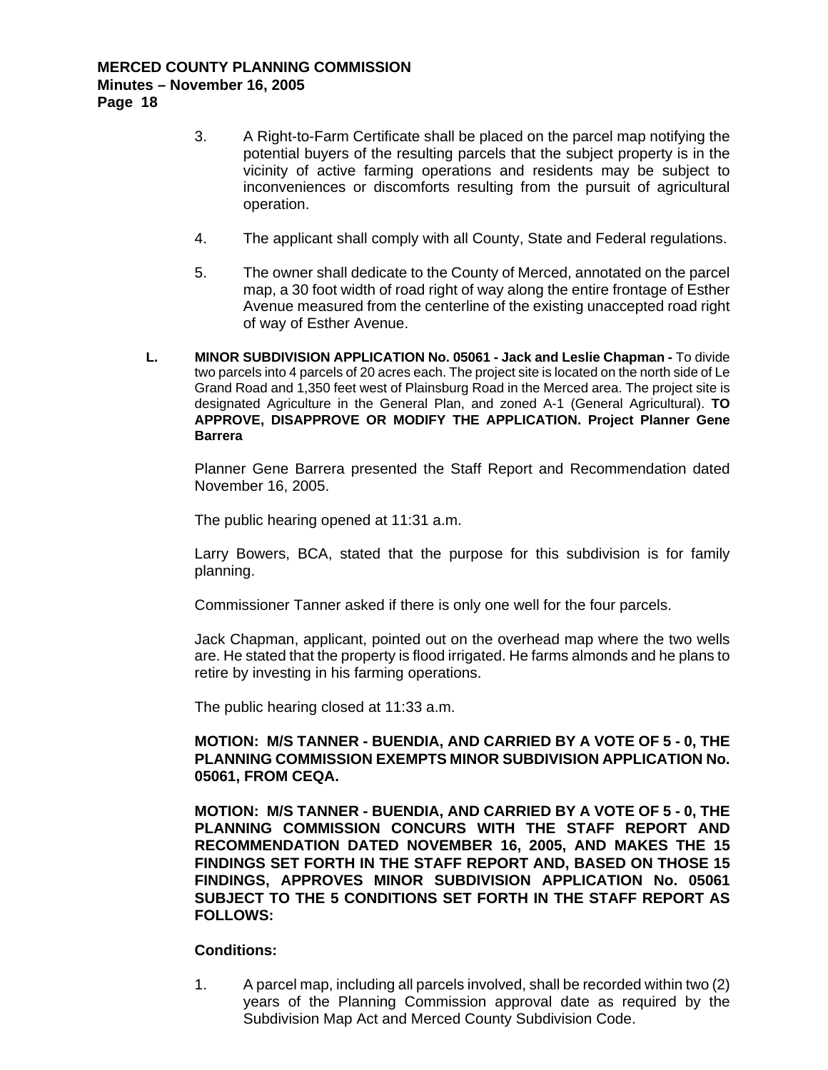- 3. A Right-to-Farm Certificate shall be placed on the parcel map notifying the potential buyers of the resulting parcels that the subject property is in the vicinity of active farming operations and residents may be subject to inconveniences or discomforts resulting from the pursuit of agricultural operation.
- 4. The applicant shall comply with all County, State and Federal regulations.
- 5. The owner shall dedicate to the County of Merced, annotated on the parcel map, a 30 foot width of road right of way along the entire frontage of Esther Avenue measured from the centerline of the existing unaccepted road right of way of Esther Avenue.
- **L. MINOR SUBDIVISION APPLICATION No. 05061 Jack and Leslie Chapman** To divide two parcels into 4 parcels of 20 acres each. The project site is located on the north side of Le Grand Road and 1,350 feet west of Plainsburg Road in the Merced area. The project site is designated Agriculture in the General Plan, and zoned A-1 (General Agricultural). **TO APPROVE, DISAPPROVE OR MODIFY THE APPLICATION. Project Planner Gene Barrera**

Planner Gene Barrera presented the Staff Report and Recommendation dated November 16, 2005.

The public hearing opened at 11:31 a.m.

Larry Bowers, BCA, stated that the purpose for this subdivision is for family planning.

Commissioner Tanner asked if there is only one well for the four parcels.

Jack Chapman, applicant, pointed out on the overhead map where the two wells are. He stated that the property is flood irrigated. He farms almonds and he plans to retire by investing in his farming operations.

The public hearing closed at 11:33 a.m.

#### **MOTION: M/S TANNER - BUENDIA, AND CARRIED BY A VOTE OF 5 - 0, THE PLANNING COMMISSION EXEMPTS MINOR SUBDIVISION APPLICATION No. 05061, FROM CEQA.**

**MOTION: M/S TANNER - BUENDIA, AND CARRIED BY A VOTE OF 5 - 0, THE PLANNING COMMISSION CONCURS WITH THE STAFF REPORT AND RECOMMENDATION DATED NOVEMBER 16, 2005, AND MAKES THE 15 FINDINGS SET FORTH IN THE STAFF REPORT AND, BASED ON THOSE 15 FINDINGS, APPROVES MINOR SUBDIVISION APPLICATION No. 05061 SUBJECT TO THE 5 CONDITIONS SET FORTH IN THE STAFF REPORT AS FOLLOWS:** 

#### **Conditions:**

1. A parcel map, including all parcels involved, shall be recorded within two (2) years of the Planning Commission approval date as required by the Subdivision Map Act and Merced County Subdivision Code.